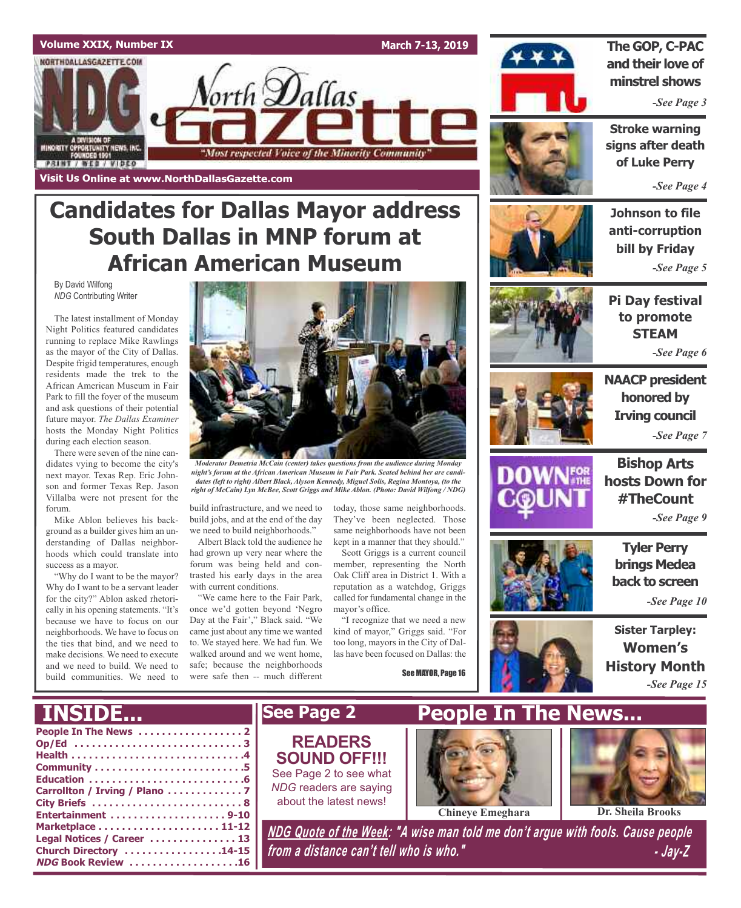

## **Candidates for Dallas Mayor address South Dallas in MNP forum at African American Museum**

By David Wilfong *NDG* Contributing Writer

The latest installment of Monday Night Politics featured candidates running to replace Mike Rawlings as the mayor of the City of Dallas. Despite frigid temperatures, enough residents made the trek to the African American Museum in Fair Park to fill the foyer of the museum and ask questions of their potential future mayor. *The Dallas Examiner* hosts the Monday Night Politics during each election season.

There were seven of the nine candidates vying to become the city's next mayor. Texas Rep. Eric Johnson and former Texas Rep. Jason Villalba were not present for the forum.

Mike Ablon believes his background as a builder gives him an understanding of Dallas neighborhoods which could translate into success as a mayor.

"Why do I want to be the mayor? Why do I want to be a servant leader for the city?" Ablon asked rhetorically in his opening statements. "It's because we have to focus on our neighborhoods. We have to focus on the ties that bind, and we need to make decisions. We need to execute and we need to build. We need to build communities. We need to



*Moderator Demetria McCain (center) takes questions from the audience during Monday night's forum at the African American Museum in Fair Park. Seated behind her are candidates (left to right) Albert Black, Alyson Kennedy, Miguel Solis, Regina Montoya, (to the right of McCain) Lyn McBee, Scott Griggs and Mike Ablon. (Photo: David Wilfong / NDG)*

build infrastructure, and we need to build jobs, and at the end of the day we need to build neighborhoods."

Albert Black told the audience he had grown up very near where the forum was being held and contrasted his early days in the area with current conditions.

"We came here to the Fair Park, once we'd gotten beyond 'Negro Day at the Fair'," Black said. "We came just about any time we wanted to. We stayed here. We had fun. We walked around and we went home, safe; because the neighborhoods were safe then -- much different

today, those same neighborhoods. They've been neglected. Those same neighborhoods have not been kept in a manner that they should."

Scott Griggs is a current council member, representing the North Oak Cliff area in District 1. With a reputation as a watchdog, Griggs called for fundamental change in the mayor's office.

"I recognize that we need a new kind of mayor," Griggs said. "For too long, mayors in the City of Dallas have been focused on Dallas: the

See MAYOR, Page 16



**The GOP, C-PAC and their love of minstrel shows**

*-See Page 3*

**Stroke warning signs after death of Luke Perry**

*-See Page 4*

**Johnson to file anti-corruption bill by Friday** *-See Page 5*



**Pi Day festival to promote STEAM** *-See Page 6*



**NAACP president honored by Irving council** *-See Page 7*



**Bishop Arts hosts Down for #TheCount**

*-See Page 9*

**Tyler Perry brings Medea back to screen**

*-See Page 10*

**Sister Tarpley: Women's History Month** *-See Page 15*

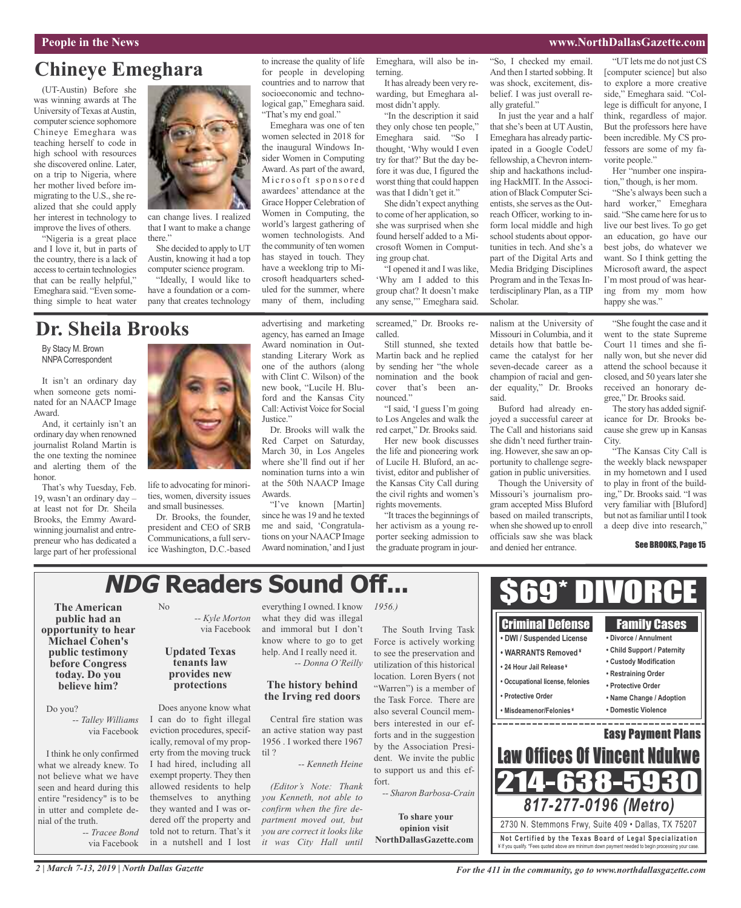## **Chineye Emeghara**

(UT-Austin) Before she was winning awards at The University of Texas at Austin, computer science sophomore Chineye Emeghara was teaching herself to code in high school with resources she discovered online. Later, on a trip to Nigeria, where her mother lived before immigrating to the U.S., she realized that she could apply her interest in technology to improve the lives of others.

"Nigeria is a great place and I love it, but in parts of the country, there is a lack of accessto certain technologies that can be really helpful," Emeghara said. "Even something simple to heat water



can change lives. I realized that I want to make a change there."

She decided to apply to UT Austin, knowing it had a top computer science program.

"Ideally, I would like to have a foundation or a company that creates technology

### **Dr. Sheila Brooks**

By Stacy M. Brown NNPA Correspondent

It isn't an ordinary day when someone gets nominated for an NAACP Image Award.

And, it certainly isn't an ordinary day when renowned journalist Roland Martin is the one texting the nominee and alerting them of the honor.

That's why Tuesday, Feb. 19, wasn't an ordinary day – at least not for Dr. Sheila Brooks, the Emmy Awardwinning journalist and entrepreneur who has dedicated a large part of her professional



life to advocating for minorities, women, diversity issues and small businesses.

Dr. Brooks, the founder, president and CEO of SRB Communications, a full service Washington, D.C.-based

> **tenants law provides new protections**

Does anyone know what I can do to fight illegal eviction procedures, specifically, removal of my property from the moving truck I had hired, including all exempt property. They then allowed residents to help themselves to anything they wanted and I was ordered off the property and

No

advertising and marketing agency, has earned an Image Award nomination in Outstanding Literary Work as one of the authors (along with Clint C. Wilson) of the new book, "Lucile H. Bluford and the Kansas City Call:Activist Voice for Social Justice."

to increase the quality of life for people in developing countries and to narrow that socioeconomic and technological gap," Emeghara said. "That's my end goal."

Emeghara was one of ten women selected in 2018 for the inaugural Windows Insider Women in Computing Award. As part of the award, Microsoft sponsored awardees' attendance at the Grace Hopper Celebration of Women in Computing, the world's largest gathering of women technologists. And the community of ten women has stayed in touch. They have a weeklong trip to Microsoft headquarters scheduled for the summer, where many of them, including

Dr. Brooks will walk the Red Carpet on Saturday, March 30, in Los Angeles where she'll find out if her nomination turns into a win at the 50th NAACP Image Awards.

"I've known [Martin] since he was 19 and he texted me and said, 'Congratulations on your NAACPImage Award nomination,' and I just

Emeghara, will also be interning. It has already been very rewarding, but Emeghara al-

most didn't apply. "In the description it said they only chose ten people," Emeghara said. "So I thought, 'Why would I even try for that?' But the day before it was due, I figured the worst thing that could happen was that I didn't get it."

She didn't expect anything to come of her application, so she was surprised when she found herself added to a Microsoft Women in Computing group chat.

"I opened it and I waslike, 'Why am I added to this group chat? It doesn't make any sense,'" Emeghara said.

screamed," Dr. Brooks recalled.

Still stunned, she texted Martin back and he replied by sending her "the whole nomination and the book cover that's been announced."

"I said, 'I guess I'm going to Los Angeles and walk the red carpet," Dr. Brooks said.

Her new book discusses the life and pioneering work of Lucile H. Bluford, an activist, editor and publisher of the Kansas City Call during the civil rights and women's rights movements.

"It traces the beginnings of her activism as a young reporter seeking admission to the graduate program in jour-

"So, I checked my email. And then I started sobbing. It was shock, excitement, disbelief. I was just overall really grateful."

In just the year and a half that she's been at UT Austin, Emeghara has already participated in a Google CodeU fellowship, a Chevron internship and hackathons including HackMIT. In the Association of Black Computer Scientists, she serves as the Outreach Officer, working to inform local middle and high school students about opportunities in tech. And she's a part of the Digital Arts and Media Bridging Disciplines Program and in the Texas Interdisciplinary Plan, as a TIP Scholar.

nalism at the University of Missouri in Columbia, and it details how that battle became the catalyst for her seven-decade career as a champion of racial and gender equality," Dr. Brooks

Buford had already enjoyed a successful career at The Call and historians said she didn't need further training. However, she saw an opportunity to challenge segregation in public universities. Though the University of Missouri's journalism program accepted Miss Bluford based on mailed transcripts, when she showed up to enroll officials saw she was black and denied her entrance.

said.

"UT lets me do not just CS [computer science] but also to explore a more creative side," Emeghara said. "College is difficult for anyone, I think, regardless of major. But the professors here have been incredible. My CS professors are some of my favorite people."

Her "number one inspiration," though, is her mom.

"She's always been such a hard worker." Emeghara said. "She came here for us to live our best lives. To go get an education, go have our best jobs, do whatever we want. So I think getting the Microsoft award, the aspect I'm most proud of was hearing from my mom how happy she was."

"She fought the case and it went to the state Supreme Court 11 times and she finally won, but she never did attend the school because it closed, and 50 years later she received an honorary degree," Dr. Brooks said.

The story has added significance for Dr. Brooks because she grew up in Kansas City.

"The Kansas City Call is the weekly black newspaper in my hometown and I used to play in front of the building," Dr. Brooks said. "I was very familiar with [Bluford] but not as familiar until I took a deep dive into research,"

#### See BROOKS, Page 15

## **NDG Readers Sound Off...**

**The American public had an opportunity to hear Michael Cohen's public testimony before Congress today. Do you believe him?**

#### Do you?

*-- Talley Williams* via Facebook

I think he only confirmed what we already knew. To not believe what we have seen and heard during this entire "residency" is to be in utter and complete denial of the truth.

*-- Tracee Bond* via Facebook told not to return. That's it in a nutshell and I lost

*-- Kyle Morton* via Facebook **Updated Texas** everything I owned. I know what they did was illegal and immoral but I don't know where to go to get help. And I really need it.

#### **The history behind the Irving red doors**

*-- Donna O'Reilly*

Central fire station was an active station way past 1956 . I worked there 1967 til ?

*-- Kenneth Heine*

*(Editor's Note: Thank you Kenneth, not able to confirm when the fire department moved out, but you are correct it looks like it was City Hall until*

*1956.)*

The South Irving Task Force is actively working to see the preservation and utilization of this historical location. Loren Byers ( not "Warren") is a member of the Task Force. There are also several Council members interested in our efforts and in the suggestion by the Association President. We invite the public to support us and this effort.

*-- Sharon Barbosa-Crain*

**To share your opinion visit NorthDallasGazette.com**



*2 | March 7-13, 2019 | North Dallas Gazette*

*For the 411 in the community, go to www.northdallasgazette.com*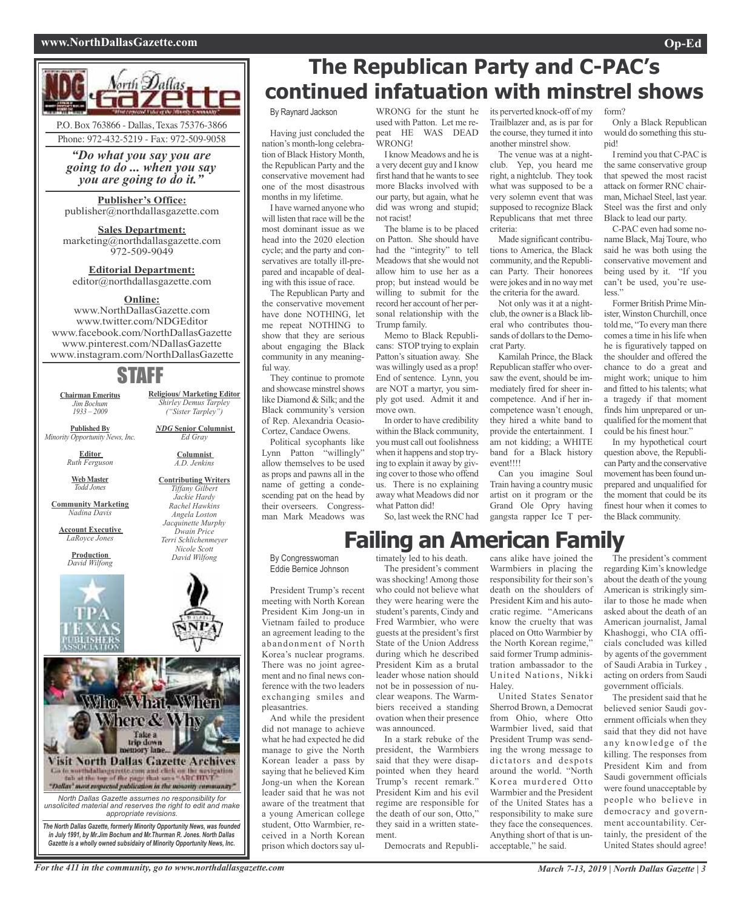#### **www.NorthDallasGazette.com Op-Ed**



*"Do what you say you are going to do ... when you say you are going to do it."*

### **Publisher's Office:**

publisher@northdallasgazette.com

**Sales Department:** marketing@northdallasgazette.com 972-509-9049

#### **Editorial Department:** editor@northdallasgazette.com

#### **Online:**

www.NorthDallasGazette.com www.twitter.com/NDGEditor www.facebook.com/NorthDallasGazette www.pinterest.com/NDallasGazette www.instagram.com/NorthDallasGazette

### STAFF

**Religious/ Marketing Editor** *Shirley Demus Tarpley ("Sister Tarpley") NDG* **Senior Columnist** *Ed Gray* **Columnist** *A.D. Jenkins* **Contributing Writers** *Tiffany Gilbert Jackie Hardy Rachel Hawkins Angela Loston Jacquinette Murphy Dwain Price Terri Schlichenmeyer Nicole Scott David Wilfong*

**Chairman Emeritus** *Jim Bochum 1933 – 2009*

**Published By** *Minority Opportunity News, Inc.*

> **Editor** *Ruth Ferguson*

**Web Master** *Todd Jones*

**Community Marketing** *Nadina Davis*

**Account Executive** *LaRoyce Jones*

> **Production** *David Wilfong*





*Gazette is a wholly owned subsidairy of Minority Opportunity News, Inc.*

**The Republican Party and C-PAC's continued infatuation with minstrel shows**

By Raynard Jackson

Having just concluded the nation's month-long celebration of Black History Month, the Republican Party and the conservative movement had one of the most disastrous months in my lifetime.

I have warned anyone who will listen that race will be the most dominant issue as we head into the 2020 election cycle; and the party and conservatives are totally ill-prepared and incapable of dealing with this issue of race.

The Republican Party and the conservative movement have done NOTHING, let me repeat NOTHING to show that they are serious about engaging the Black community in any meaningful way.

They continue to promote and showcase minstrel shows like Diamond & Silk; and the Black community's version of Rep. Alexandria Ocasio-Cortez, Candace Owens.

Political sycophants like Lynn Patton "willingly" allow themselves to be used as props and pawns all in the name of getting a condescending pat on the head by their overseers. Congressman Mark Meadows was

By Congresswoman Eddie Bernice Johnson

President Trump's recent meeting with North Korean President Kim Jong-un in Vietnam failed to produce an agreement leading to the abandonment of North Korea's nuclear programs. There was no joint agreement and no final news conference with the two leaders exchanging smiles and pleasantries.

And while the president did not manage to achieve what he had expected he did manage to give the North Korean leader a pass by saying that he believed Kim Jong-un when the Korean leader said that he was not aware of the treatment that a young American college student, Otto Warmbier, received in a North Korean prison which doctors say ul-

WRONG for the stunt he used with Patton. Let me repeat HE WAS DEAD WRONG!

I know Meadows and he is a very decent guy and I know first hand that he wants to see more Blacks involved with our party, but again, what he did was wrong and stupid; not racist!

The blame is to be placed on Patton. She should have had the "integrity" to tell Meadows that she would not allow him to use her as a prop; but instead would be willing to submit for the record her account of her personal relationship with the Trump family.

Memo to Black Republicans: STOP trying to explain Patton's situation away. She was willingly used as a prop! End of sentence. Lynn, you are NOT a martyr, you simply got used. Admit it and move own.

In order to have credibility within the Black community, you must call out foolishness when it happens and stop trying to explain it away by giving cover to those who offend us. There is no explaining away what Meadows did nor what Patton did!

So, last week the RNC had

who could not believe what they were hearing were the student's parents, Cindy and Fred Warmbier, who were guests at the president's first State of the Union Address during which he described President Kim as a brutal leader whose nation should not be in possession of nuclear weapons. The Warmbiers received a standing ovation when their presence

was announced.

ment.

In a stark rebuke of the president, the Warmbiers said that they were disappointed when they heard Trump's recent remark." President Kim and his evil regime are responsible for the death of our son, Otto," they said in a written state-

Democrats and Republi-

its perverted knock-off of my Trailblazer and, as is par for the course, they turned it into another minstrel show.

The venue was at a nightclub. Yep, you heard me right, a nightclub. They took what was supposed to be a very solemn event that was supposed to recognize Black Republicans that met three criteria:

Made significant contributions to America, the Black community, and the Republican Party. Their honorees were jokes and in no way met the criteria for the award.

Not only was it at a nightclub, the owner is a Black liberal who contributes thousands of dollars to the Democrat Party.

Kamilah Prince, the Black Republican staffer who oversaw the event, should be immediately fired for sheer incompetence. And if her incompetence wasn't enough, they hired a white band to provide the entertainment. I am not kidding; a WHITE band for a Black history event!!!!

Can you imagine Soul

Train having a country music artist on it program or the Grand Ole Opry having gangsta rapper Ice T per-

form?

Only a Black Republican would do something this stupid!

Iremind you thatC-PACis the same conservative group that spewed the most racist attack on former RNC chairman, Michael Steel, last year. Steel was the first and only Black to lead our party.

C-PAC even had some noname Black, Maj Toure, who said he was both using the conservative movement and being used by it. "If you can't be used, you're useless."

Former British Prime Minister, Winston Churchill, once told me, "To every man there comes a time in hislife when he is figuratively tapped on the shoulder and offered the chance to do a great and might work; unique to him and fitted to his talents; what a tragedy if that moment finds him unprepared or unqualified for the moment that could be his finest hour."

In my hypothetical court question above, the Republican Party and the conservative movement has been found unprepared and unqualified for the moment that could be its finest hour when it comes to the Black community.

timately led to his death. The president's comment was shocking! Among those

**Failing an American Family**

cans alike have joined the Warmbiers in placing the responsibility for their son's death on the shoulders of President Kim and his autocratic regime. "Americans know the cruelty that was placed on Otto Warmbier by the North Korean regime," said former Trump administration ambassador to the United Nations, Nikki Haley.

United States Senator Sherrod Brown, a Democrat from Ohio, where Otto Warmbier lived, said that President Trump was sending the wrong message to dictators and despots around the world. "North Korea murdered Otto Warmbier and the President of the United States has a responsibility to make sure they face the consequences. Anything short of that is unacceptable," he said.

The president's comment regarding Kim's knowledge about the death of the young American is strikingly similar to those he made when asked about the death of an American journalist, Jamal Khashoggi, who CIA officials concluded was killed by agents of the government of Saudi Arabia in Turkey , acting on orders from Saudi government officials.

The president said that he believed senior Saudi government officials when they said that they did not have any knowledge of the killing. The responses from President Kim and from Saudi government officials were found unacceptable by people who believe in democracy and government accountability. Certainly, the president of the United States should agree!

For the 411 in the community, go to www.northdallasgazette.com March 7-13, 2019 | North Dallas Gazette | 3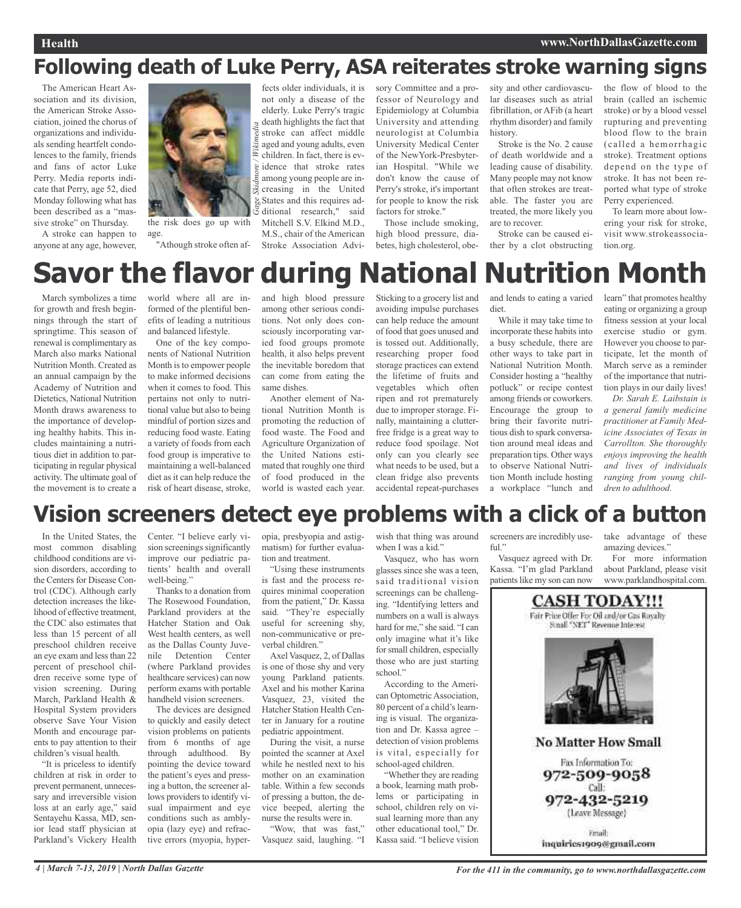## **Following death of Luke Perry, ASA reiterates stroke warning signs**

The American Heart Association and its division, the American Stroke Association, joined the chorus of organizations and individuals sending heartfelt condolences to the family, friends and fans of actor Luke Perry. Media reports indicate that Perry, age 52, died Monday following what has been described as a "massive stroke" on Thursday.

A stroke can happen to anyone at any age, however,



*Gage Skidmore / Wik mi edia*

the risk does go up with age.

"Athough stroke often af-

fects older individuals, it is not only a disease of the elderly. Luke Perry's tragic  $\frac{d}{dx}$  death highlights the fact that stroke can affect middle aged and young adults, even children. In fact, there is evg idence that stroke rates among young people are in- $\frac{1}{\infty}$  creasing in the United States and this requires additional research," said Mitchell S.V. Elkind M.D., M.S., chair of the American Stroke Association Advi-

sory Committee and a professor of Neurology and Epidemiology at Columbia University and attending neurologist at Columbia University Medical Center of the NewYork-Presbyterian Hospital. "While we don't know the cause of Perry's stroke, it's important for people to know the risk factors for stroke."

Those include smoking, high blood pressure, diabetes, high cholesterol, obesity and other cardiovascular diseases such as atrial fibrillation, or AFib (a heart rhythm disorder) and family history.

Stroke is the No. 2 cause of death worldwide and a leading cause of disability. Many people may not know that often strokes are treatable. The faster you are treated, the more likely you are to recover.

Stroke can be caused either by a clot obstructing

the flow of blood to the brain (called an ischemic stroke) or by a blood vessel rupturing and preventing blood flow to the brain (called a hemorrhagic stroke). Treatment options depend on the type of stroke. It has not been reported what type of stroke Perry experienced.

To learn more about lowering your risk for stroke, visit www.strokeassociation.org.

# **Savor the flavor during National Nutrition Month**

March symbolizes a time for growth and fresh beginnings through the start of springtime. This season of renewal is complimentary as March also marks National Nutrition Month. Created as an annual campaign by the Academy of Nutrition and Dietetics, National Nutrition Month draws awareness to the importance of developing healthy habits. This includes maintaining a nutritious diet in addition to participating in regular physical activity. The ultimate goal of the movement is to create a world where all are informed of the plentiful benefits of leading a nutritious and balanced lifestyle.

One of the key components of National Nutrition Month is to empower people to make informed decisions when it comes to food. This pertains not only to nutritional value but also to being mindful of portion sizes and reducing food waste. Eating a variety of foods from each food group is imperative to maintaining a well-balanced diet as it can help reduce the risk of heart disease, stroke,

and high blood pressure among other serious conditions. Not only does consciously incorporating varied food groups promote health, it also helps prevent the inevitable boredom that can come from eating the same dishes.

Another element of National Nutrition Month is promoting the reduction of food waste. The Food and Agriculture Organization of the United Nations estimated that roughly one third of food produced in the world is wasted each year.

Sticking to a grocery list and avoiding impulse purchases can help reduce the amount of food that goes unused and is tossed out. Additionally, researching proper food storage practices can extend the lifetime of fruits and vegetables which often ripen and rot prematurely due to improper storage. Finally, maintaining a clutterfree fridge is a great way to reduce food spoilage. Not only can you clearly see what needs to be used, but a clean fridge also prevents accidental repeat-purchases and lends to eating a varied diet.

While it may take time to incorporate these habits into a busy schedule, there are other ways to take part in National Nutrition Month. Consider hosting a "healthy potluck" or recipe contest among friends or coworkers. Encourage the group to bring their favorite nutritious dish to spark conversation around meal ideas and preparation tips. Other ways to observe National Nutrition Month include hosting a workplace "lunch and learn" that promotes healthy eating or organizing a group fitness session at your local exercise studio or gym. However you choose to participate, let the month of March serve as a reminder of the importance that nutrition plays in our daily lives!

*Dr. Sarah E. Laibstain is a general family medicine practitioner at Family Medicine Associates of Texas in Carrollton. She thoroughly enjoys improving the health and lives of individuals ranging from young children to adulthood.*

## **Vision screeners detect eye problems with a click of a button**

In the United States, the most common disabling childhood conditions are vision disorders, according to the Centers for Disease Control (CDC). Although early detection increases the likelihood of effective treatment, the CDC also estimates that less than 15 percent of all preschool children receive an eye exam and less than 22 percent of preschool children receive some type of vision screening. During March, Parkland Health & Hospital System providers observe Save Your Vision Month and encourage parents to pay attention to their children's visual health.

"It is priceless to identify children at risk in order to prevent permanent, unnecessary and irreversible vision loss at an early age," said Sentayehu Kassa, MD, senior lead staff physician at Parkland's Vickery Health

Center. "I believe early vision screenings significantly improve our pediatric patients' health and overall well-being."

Thanks to a donation from The Rosewood Foundation, Parkland providers at the Hatcher Station and Oak West health centers, as well as the Dallas County Juvenile Detention Center (where Parkland provides healthcare services) can now perform exams with portable handheld vision screeners.

The devices are designed to quickly and easily detect vision problems on patients from 6 months of age through adulthood. By pointing the device toward the patient's eyes and pressing a button, the screener allows providers to identify visual impairment and eye conditions such as amblyopia (lazy eye) and refractive errors (myopia, hyperopia, presbyopia and astigmatism) for further evaluation and treatment.

"Using these instruments is fast and the process requires minimal cooperation from the patient," Dr. Kassa said. "They're especially useful for screening shy, non-communicative or preverbal children."

Axel Vasquez, 2, of Dallas is one of those shy and very young Parkland patients. Axel and his mother Karina Vasquez, 23, visited the Hatcher Station Health Center in January for a routine pediatric appointment.

During the visit, a nurse pointed the scanner at Axel while he nestled next to his mother on an examination table. Within a few seconds of pressing a button, the device beeped, alerting the nurse the results were in.

"Wow, that was fast," Vasquez said, laughing. "I wish that thing was around when I was a kid."

Vasquez, who has worn glasses since she was a teen, said traditional vision screenings can be challenging. "Identifying letters and numbers on a wall is always hard for me," she said. "I can only imagine what it's like forsmall children, especially those who are just starting school." According to the Ameri-

can Optometric Association, 80 percent of a child's learning is visual. The organization and Dr. Kassa agree – detection of vision problems is vital, especially for school-aged children.

"Whether they are reading a book, learning math problems or participating in school, children rely on visual learning more than any other educational tool," Dr. Kassa said. "I believe vision screeners are incredibly useful."

Vasquez agreed with Dr. Kassa. "I'm glad Parkland patients like my son can now

take advantage of these amazing devices."

For more information about Parkland, please visit www.parklandhospital.com.

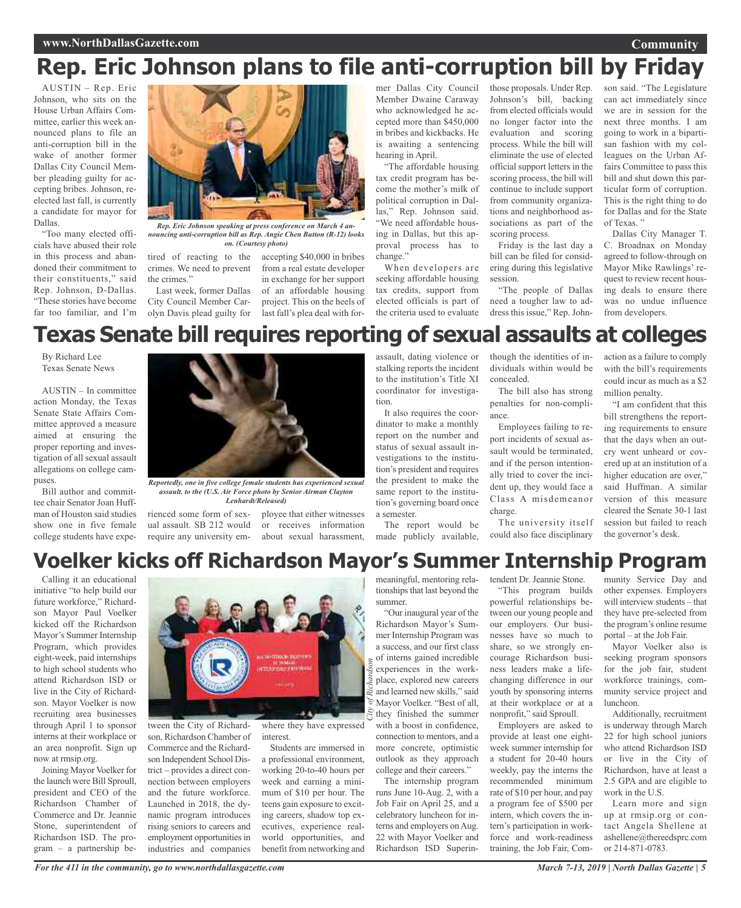## **Rep. Eric Johnson plans to file anti-corruption bill by Friday**

AUSTIN – Rep. Eric Johnson, who sits on the House Urban Affairs Committee, earlier this week announced plans to file an anti-corruption bill in the wake of another former Dallas City Council Member pleading guilty for accepting bribes. Johnson, reelected last fall, is currently a candidate for mayor for Dallas.

"Too many elected officials have abused their role in this process and abandoned their commitment to their constituents," said Rep. Johnson, D-Dallas. "These stories have become far too familiar, and I'm



*Rep. Eric Johnson speaking at press conference on March 4 announcing anti-corruption bill as Rep. Angie Chen Button (R-12) looks on. (Courtesy photo)*

tired of reacting to the accepting \$40,000 in bribes crimes. We need to prevent the crimes."

Last week, former Dallas City Council Member Carolyn Davis plead guilty for

from a real estate developer in exchange for her support of an affordable housing project. This on the heels of last fall's plea deal with former Dallas City Council Member Dwaine Caraway who acknowledged he accepted more than \$450,000 in bribes and kickbacks. He is awaiting a sentencing hearing in April.

"The affordable housing tax credit program has become the mother's milk of political corruption in Dallas," Rep. Johnson said. "We need affordable housing in Dallas, but this approval process has to change.'

When developers are seeking affordable housing tax credits, support from elected officials is part of the criteria used to evaluate

those proposals. Under Rep. Johnson's bill, backing from elected officials would no longer factor into the evaluation and scoring process. While the bill will eliminate the use of elected official support letters in the scoring process, the bill will continue to include support from community organizations and neighborhood associations as part of the scoring process.

Friday is the last day a bill can be filed for considering during this legislative session.

"The people of Dallas need a tougher law to address this issue," Rep. John-

son said. "The Legislature can act immediately since we are in session for the next three months. I am going to work in a bipartisan fashion with my colleagues on the Urban Affairs Committee to pass this bill and shut down this particular form of corruption. This is the right thing to do for Dallas and for the State of Texas."

**Community**

Dallas City Manager T. C. Broadnax on Monday agreed to follow-through on Mayor Mike Rawlings' request to review recent housing deals to ensure there was no undue influence from developers.

## **Texas Senate bill requires reporting of sexual assaults at colleges**

By Richard Lee Texas Senate News

AUSTIN – In committee action Monday, the Texas Senate State Affairs Committee approved a measure aimed at ensuring the proper reporting and investigation of all sexual assault allegations on college campuses.

Bill author and committee chair Senator Joan Huffman of Houston said studies show one in five female college students have expe-



*Reportedly, one in five college female students has experienced sexual assault. to the (U.S. Air Force photo by Senior Airman Clayton Lenhardt/Released)*

rienced some form of sexual assault. SB 212 would require any university emassault, dating violence or stalking reports the incident to the institution's Title XI coordinator for investigation.

It also requires the coordinator to make a monthly report on the number and status of sexual assault investigations to the institution's president and requires the president to make the same report to the institution's governing board once a semester.

about sexual harassment, The report would be made publicly available, though the identities of individuals within would be concealed.

The bill also has strong penalties for non-compliance.

Employees failing to report incidents of sexual assault would be terminated, and if the person intentionally tried to cover the incident up, they would face a Class A misdemeanor charge.

The university itself could also face disciplinary

action as a failure to comply with the bill's requirements could incur as much as a \$2 million penalty.

"I am confident that this bill strengthens the reporting requirements to ensure that the days when an outcry went unheard or covered up at an institution of a higher education are over," said Huffman. A similar version of this measure cleared the Senate 30-1 last session but failed to reach the governor's desk.

## **Voelker kicks off Richardson Mayor's Summer Internship Program**

*City of*

*Richardson*

Calling it an educational initiative "to help build our future workforce," Richardson Mayor Paul Voelker kicked off the Richardson Mayor's Summer Internship Program, which provides eight-week, paid internships to high school students who attend Richardson ISD or live in the City of Richardson. Mayor Voelker is now recruiting area businesses through April 1 to sponsor interns at their workplace or an area nonprofit. Sign up now at rmsip.org.

Joining Mayor Voelker for the launch were Bill Sproull, president and CEO of the Richardson Chamber of Commerce and Dr. Jeannie Stone, superintendent of Richardson ISD. The program – a partnership be-



tween the City of Richardson, Richardson Chamber of Commerce and the Richardson Independent School District – provides a direct connection between employers and the future workforce. Launched in 2018, the dynamic program introduces rising seniors to careers and employment opportunities in industries and companies

where they have expressed interest.

ployee that either witnesses or receives information

Students are immersed in a professional environment, working 20-to-40 hours per week and earning a minimum of \$10 per hour. The teens gain exposure to exciting careers, shadow top executives, experience realworld opportunities, and benefit from networking and

meaningful, mentoring relationships that last beyond the summer.

"Our inaugural year of the Richardson Mayor's Summer Internship Program was a success, and our first class of interns gained incredible experiences in the workplace, explored new careers and learned new skills," said Mayor Voelker. "Best of all, they finished the summer with a boost in confidence, connection to mentors, and a more concrete, optimistic outlook as they approach college and their careers."

The internship program runs June 10-Aug. 2, with a Job Fair on April 25, and a celebratory luncheon for interns and employers on Aug. 22 with Mayor Voelker and Richardson ISD Superintendent Dr. Jeannie Stone.

"This program builds powerful relationships between our young people and our employers. Our businesses have so much to share, so we strongly encourage Richardson business leaders make a lifechanging difference in our youth by sponsoring interns at their workplace or at a nonprofit," said Sproull.

Employers are asked to provide at least one eightweek summer internship for a student for 20-40 hours weekly, pay the interns the recommended minimum rate of \$10 per hour, and pay a program fee of \$500 per intern, which covers the intern's participation in workforce and work-readiness training, the Job Fair, Community Service Day and other expenses. Employers will interview students – that they have pre-selected from the program's online resume portal – at the Job Fair.

Mayor Voelker also is seeking program sponsors for the job fair, student workforce trainings, community service project and luncheon.

Additionally, recruitment is underway through March 22 for high school juniors who attend Richardson ISD or live in the City of Richardson, have at least a 2.5 GPA and are eligible to work in the U.S.

Learn more and sign up at rmsip.org or contact Angela Shellene at ashellene@thereedsprc.com or 214-871-0783.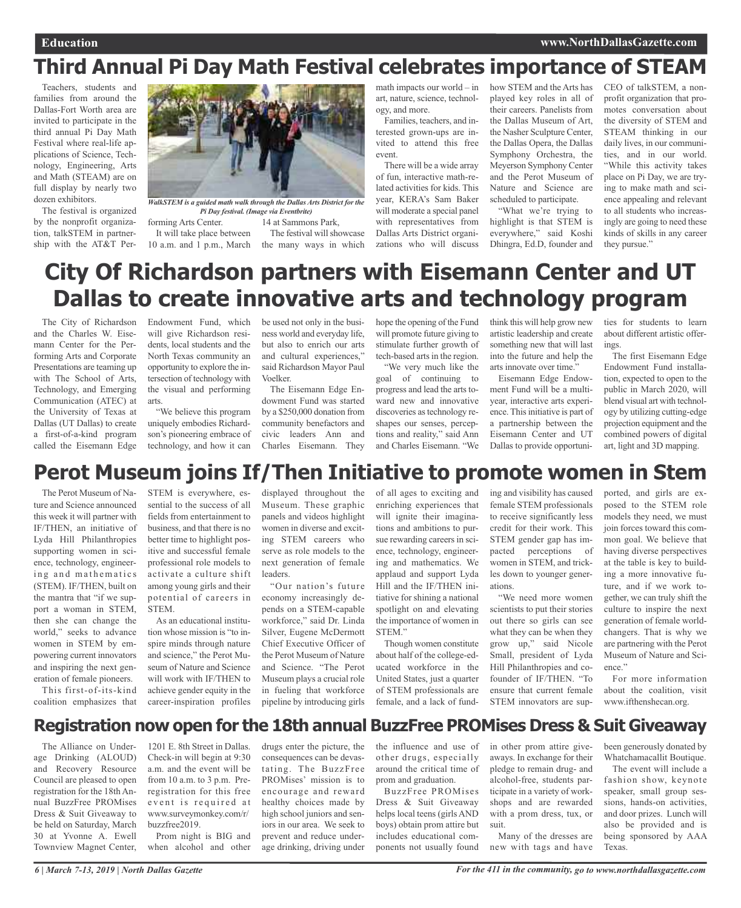## **Third Annual Pi Day Math Festival celebrates importance of STEAM**

Teachers, students and families from around the Dallas-Fort Worth area are invited to participate in the third annual Pi Day Math Festival where real-life applications of Science, Technology, Engineering, Arts and Math (STEAM) are on full display by nearly two dozen exhibitors.

The festival is organized by the nonprofit organization, talkSTEM in partnership with the AT&T Per-



forming Arts Center. 14 at Sammons Park, *WalkSTEM is a guided math walk through the Dallas Arts District for the Pi Day festival. (Image via Eventbrite)*

It will take place between 10 a.m. and 1 p.m., March the many ways in which

math impacts our world – in art, nature, science, technology, and more.

Families, teachers, and interested grown-ups are invited to attend this free event.

There will be a wide array of fun, interactive math-related activities for kids. This year, KERA's Sam Baker will moderate a special panel with representatives from Dallas Arts District organizations who will discuss how STEM and the Arts has played key roles in all of their careers. Panelists from the Dallas Museum of Art, the Nasher Sculpture Center, the Dallas Opera, the Dallas Symphony Orchestra, the Meyerson Symphony Center and the Perot Museum of Nature and Science are scheduled to participate.

"What we're trying to highlight is that STEM is everywhere," said Koshi Dhingra, Ed.D, founder and

CEO of talkSTEM, a nonprofit organization that promotes conversation about the diversity of STEM and STEAM thinking in our daily lives, in our communities, and in our world. "While this activity takes place on Pi Day, we are trying to make math and science appealing and relevant to all students who increasingly are going to need these kinds of skills in any career they pursue."

## **City Of Richardson partners with Eisemann Center and UT Dallas to create innovative arts and technology program**

The City of Richardson and the Charles W. Eisemann Center for the Performing Arts and Corporate Presentations are teaming up with The School of Arts, Technology, and Emerging Communication (ATEC) at the University of Texas at Dallas (UT Dallas) to create a first-of-a-kind program called the Eisemann Edge Endowment Fund, which will give Richardson residents, local students and the North Texas community an opportunity to explore the intersection of technology with the visual and performing arts.

"We believe this program uniquely embodies Richardson's pioneering embrace of technology, and how it can

be used not only in the business world and everyday life, but also to enrich our arts and cultural experiences," said Richardson Mayor Paul Voelker.

The festival will showcase

The Eisemann Edge Endowment Fund was started by a \$250,000 donation from community benefactors and civic leaders Ann and Charles Eisemann. They

hope the opening of the Fund will promote future giving to stimulate further growth of tech-based arts in the region. "We very much like the

goal of continuing to progress and lead the arts toward new and innovative discoveries astechnology reshapes our senses, perceptions and reality," said Ann and Charles Eisemann. "We

think this will help grow new artistic leadership and create something new that will last into the future and help the arts innovate over time."

Eisemann Edge Endowment Fund will be a multiyear, interactive arts experience. This initiative is part of a partnership between the Eisemann Center and UT Dallas to provide opportunities for students to learn about different artistic offerings.

The first Eisemann Edge Endowment Fund installation, expected to open to the public in March 2020, will blend visual art with technology by utilizing cutting-edge projection equipment and the combined powers of digital art, light and 3D mapping.

### **Perot Museum joins If/Then Initiative to promote women in Stem**

The Perot Museum of Nature and Science announced this week it will partner with IF/THEN, an initiative of Lyda Hill Philanthropies supporting women in science, technology, engineering and mathematics (STEM). IF/THEN, built on the mantra that "if we support a woman in STEM, then she can change the world," seeks to advance women in STEM by empowering current innovators and inspiring the next generation of female pioneers.

This first-of-its-kind coalition emphasizes that STEM is everywhere, essential to the success of all fields from entertainment to business, and that there is no better time to highlight positive and successful female professional role models to activate a culture shift among young girls and their potential of careers in **STEM** 

As an educational institution whose mission is "to inspire minds through nature and science," the Perot Museum of Nature and Science will work with IF/THEN to achieve gender equity in the career-inspiration profiles

displayed throughout the Museum. These graphic panels and videos highlight women in diverse and exciting STEM careers who serve as role models to the next generation of female leaders.

"Our nation's future economy increasingly depends on a STEM-capable workforce," said Dr. Linda Silver, Eugene McDermott Chief Executive Officer of the Perot Museum of Nature and Science. "The Perot Museum plays a crucial role in fueling that workforce pipeline by introducing girls

of all ages to exciting and enriching experiences that will ignite their imaginations and ambitions to pursue rewarding careers in science, technology, engineering and mathematics. We applaud and support Lyda Hill and the IF/THEN initiative for shining a national spotlight on and elevating the importance of women in STEM."

Though women constitute about half of the college-educated workforce in the United States, just a quarter of STEM professionals are female, and a lack of funding and visibility has caused female STEM professionals to receive significantly less credit for their work. This STEM gender gap has impacted perceptions of women in STEM, and trickles down to younger generations.

"We need more women scientists to put their stories out there so girls can see what they can be when they grow up," said Nicole Small, president of Lyda Hill Philanthropies and cofounder of IF/THEN. "To ensure that current female STEM innovators are sup-

ported, and girls are exposed to the STEM role models they need, we must join forces toward this common goal. We believe that having diverse perspectives at the table is key to building a more innovative future, and if we work together, we can truly shift the culture to inspire the next generation of female worldchangers. That is why we are partnering with the Perot Museum of Nature and Science."

For more information about the coalition, visit www.ifthenshecan.org.

### **Registration now open for the 18th annual BuzzFree PROMises Dress & Suit Giveaway**

The Alliance on Underage Drinking (ALOUD) and Recovery Resource Council are pleased to open registration for the 18th Annual BuzzFree PROMises Dress & Suit Giveaway to be held on Saturday, March 30 at Yvonne A. Ewell Townview Magnet Center,

1201 E. 8th Street in Dallas. Check-in will begin at 9:30 a.m. and the event will be from 10 a.m. to 3 p.m. Preregistration for this free event is required at www.surveymonkey.com/r/ buzzfree2019. Prom night is BIG and

when alcohol and other

drugs enter the picture, the consequences can be devastating. The BuzzFree PROMises' mission is to encourage and reward healthy choices made by high school juniors and seniors in our area. We seek to prevent and reduce underage drinking, driving under

the influence and use of other drugs, especially around the critical time of prom and graduation.

BuzzFree PROMises Dress & Suit Giveaway helps local teens (girls AND boys) obtain prom attire but includes educational components not usually found

in other prom attire giveaways. In exchange for their pledge to remain drug- and alcohol-free, students participate in a variety of workshops and are rewarded with a prom dress, tux, or suit.

Many of the dresses are new with tags and have

been generously donated by Whatchamacallit Boutique.

The event will include a fashion show, keynote speaker, small group sessions, hands-on activities, and door prizes. Lunch will also be provided and is being sponsored by AAA Texas.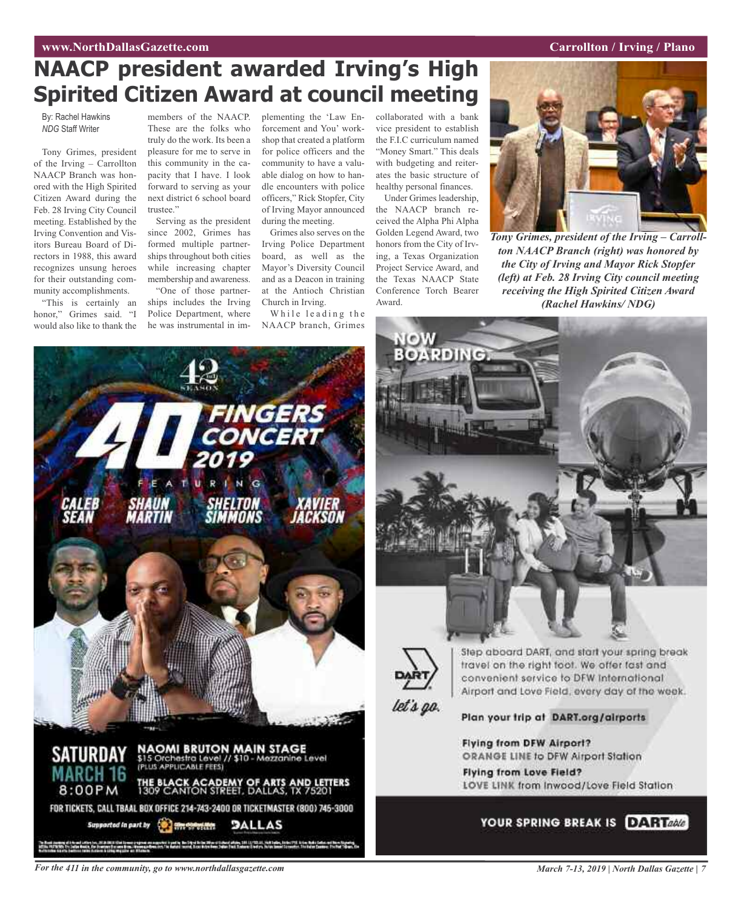#### **WAW.NorthDallasGazette.com Carrollton** *Carrollton* **<b>***Carrollton Carrollton Carrollton Carrollton Carrollton Carrollton Carrollton Carrollton Carrollton Carrollton Carrollton*

## **NAACP president awarded Irving's High Spirited Citizen Award at council meeting**

By: Rachel Hawkins *NDG* Staff Writer

Tony Grimes, president of the Irving – Carrollton NAACP Branch was honored with the High Spirited Citizen Award during the Feb. 28 Irving City Council meeting. Established by the Irving Convention and Visitors Bureau Board of Directors in 1988, this award recognizes unsung heroes for their outstanding community accomplishments.

"This is certainly an honor," Grimes said. "I would also like to thank the

members of the NAACP. These are the folks who truly do the work. Its been a pleasure for me to serve in this community in the capacity that I have. I look forward to serving as your next district 6 school board trustee."

Serving as the president since 2002, Grimes has formed multiple partnerships throughout both cities while increasing chapter membership and awareness. "One of those partner-

ships includes the Irving Police Department, where he was instrumental in implementing the 'Law Enforcement and You' workshop that created a platform for police officers and the community to have a valuable dialog on how to handle encounters with police officers," Rick Stopfer, City of Irving Mayor announced during the meeting.

Grimes also serves on the Irving Police Department board, as well as the Mayor's Diversity Council and as a Deacon in training at the Antioch Christian Church in Irving.

While leading the NAACP branch, Grimes collaborated with a bank vice president to establish the F.I.C curriculum named "Money Smart." This deals with budgeting and reiterates the basic structure of healthy personal finances. Under Grimes leadership,

the NAACP branch received the Alpha Phi Alpha Golden Legend Award, two honors from the City of Irving, a Texas Organization Project Service Award, and the Texas NAACP State Conference Torch Bearer Award.



*Tony Grimes, president of the Irving – Carrollton NAACP Branch (right) was honored by the City of Irving and Mayor Rick Stopfer (left) at Feb. 28 Irving City council meeting receiving the High Spirited Citizen Award (Rachel Hawkins/ NDG)*







travel on the right toot. We offer fast and convenient service to DFW International Airport and Love Field, every day of the week.

Plan your trip at DART.org/airports

Flying from DFW Airport? ORANGE LINE to DFW Airport Station Flying from Love Field?

LOVE LINK from Inwood/Love Field Station



For the 411 in the community, go to www.northdallasgazette.com March 7-13, 2019 | North Dallas Gazette | 7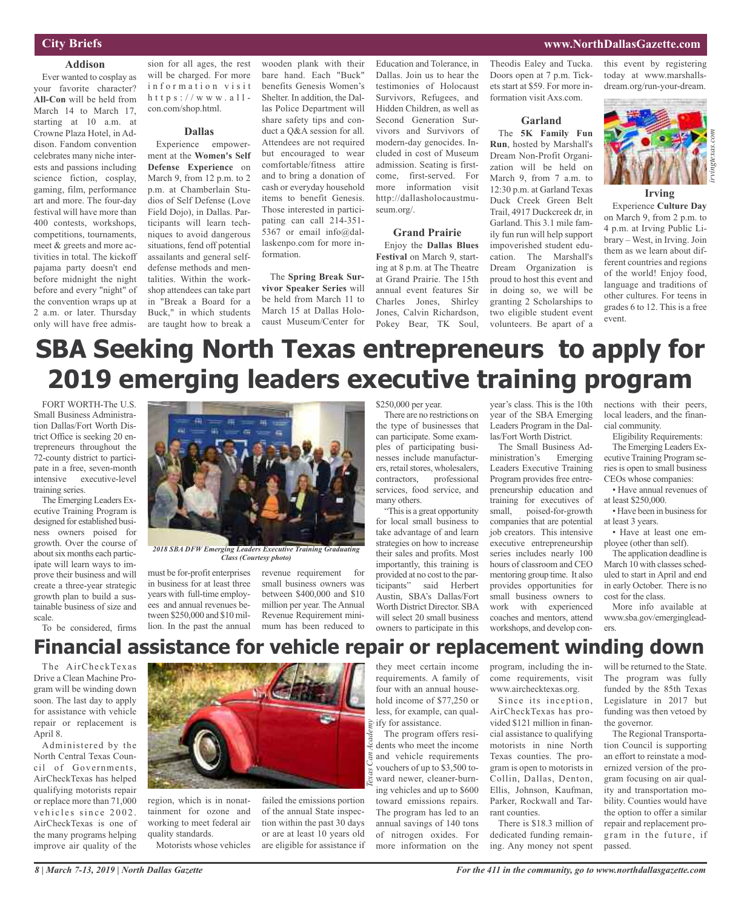#### **City Briefs**

#### **Addison**

Ever wanted to cosplay as your favorite character? **All-Con** will be held from March 14 to March 17, starting at 10 a.m. at Crowne Plaza Hotel, in Addison. Fandom convention celebrates many niche interests and passions including science fiction, cosplay, gaming, film, performance art and more. The four-day festival will have more than 400 contests, workshops, competitions, tournaments, meet & greets and more activities in total. The kickoff pajama party doesn't end before midnight the night before and every "night" of the convention wraps up at 2 a.m. or later. Thursday only will have free admis-

sion for all ages, the rest will be charged. For more information visit h t t p s :  $//$  w w w . a  $11$ con.com/shop.html.

#### **Dallas**

Experience empowerment at the **Women's Self Defense Experience** on March 9, from 12 p.m. to 2 p.m. at Chamberlain Studios of Self Defense (Love Field Dojo), in Dallas. Participants will learn techniques to avoid dangerous situations, fend off potential assailants and general selfdefense methods and mentalities. Within the workshop attendees can take part in "Break a Board for a Buck," in which students are taught how to break a

wooden plank with their bare hand. Each "Buck" benefits Genesis Women's Shelter. In addition, the Dallas Police Department will share safety tips and conduct a Q&A session for all. Attendees are not required but encouraged to wear comfortable/fitness attire and to bring a donation of cash or everyday household items to benefit Genesis. Those interested in participating can call 214-351- 5367 or email info@dallaskenpo.com for more information.

The **Spring Break Survivor Speaker Series** will be held from March 11 to March 15 at Dallas Holocaust Museum/Center for

Education and Tolerance, in Dallas. Join us to hear the testimonies of Holocaust Survivors, Refugees, and Hidden Children, as well as Second Generation Survivors and Survivors of modern-day genocides. Included in cost of Museum admission. Seating is firstcome, first-served. For more information visit http://dallasholocaustmuseum.org/.

#### **Grand Prairie**

Enjoy the **Dallas Blues Festival** on March 9, starting at 8 p.m. at The Theatre at Grand Prairie. The 15th annual event features Sir Charles Jones, Shirley Jones, Calvin Richardson, Pokey Bear, TK Soul,

Theodis Ealey and Tucka. Doors open at 7 p.m. Tickets start at \$59. For more information visit Axs.com.

#### **Garland**

The **5K Family Fun Run**, hosted by Marshall's Dream Non-Profit Organization will be held on March 9, from 7 a.m. to 12:30 p.m. at Garland Texas Duck Creek Green Belt Trail, 4917 Duckcreek dr, in Garland. This 3.1 mile family fun run will help support impoverished student education. The Marshall's Dream Organization is proud to host this event and in doing so, we will be granting 2 Scholarships to two eligible student event volunteers. Be apart of a

this event by registering today at www.marshallsdream.org/run-your-dream.

**www.NorthDallasGazette.com**



#### **Irving**

Experience **Culture Day** on March 9, from 2 p.m. to 4 p.m. at Irving Public Library – West, in Irving. Join them as we learn about different countries and regions of the world! Enjoy food, language and traditions of other cultures. For teens in grades 6 to 12. This is a free event.

## **SBA Seeking North Texas entrepreneurs to apply for 2019 emerging leaders executive training program**

FORT WORTH-The U.S. Small Business Administration Dallas/Fort Worth District Office is seeking 20 entrepreneurs throughout the 72-county district to participate in a free, seven-month intensive executive-level training series.

The Emerging Leaders Executive Training Program is designed for established business owners poised for growth. Over the course of about six months each participate will learn ways to improve their business and will create a three-year strategic growth plan to build a sustainable business of size and scale.

To be considered, firms



*2018 SBA DFW Emerging Leaders Executive Training Graduating Class (Courtesy photo)*

must be for-profit enterprises in business for at least three years with full-time employees and annual revenues between \$250,000 and \$10 million. In the past the annual

revenue requirement for small business owners was between \$400,000 and \$10 million per year. The Annual Revenue Requirement minimum has been reduced to

#### \$250,000 per year.

There are no restrictions on the type of businesses that can participate. Some examples of participating businesses include manufacturers, retail stores, wholesalers,<br>contractors, professional professional services, food service, and many others.

"This is a great opportunity for local small business to take advantage of and learn strategies on how to increase their sales and profits. Most importantly, this training is provided at no cost to the participants" said Herbert Austin, SBA's Dallas/Fort Worth District Director. SBA will select 20 small business owners to participate in this

year's class. This is the 10th year of the SBA Emerging Leaders Program in the Dallas/Fort Worth District.

The Small Business Administration's Emerging Leaders Executive Training Program provides free entrepreneurship education and training for executives of small, poised-for-growth companies that are potential job creators. This intensive executive entrepreneurship series includes nearly 100 hours of classroom and CEO mentoring group time. It also provides opportunities for small business owners to work with experienced coaches and mentors, attend workshops, and develop connections with their peers, local leaders, and the financial community.

Eligibility Requirements: The Emerging Leaders Executive Training Program series is open to small business CEOs whose companies:

• Have annual revenues of at least \$250,000.

• Have been in business for at least 3 years.

• Have at least one employee (other than self).

The application deadline is March 10 with classes scheduled to start in April and end in early October. There is no cost for the class.

More info available at www.sba.gov/emergingleaders.

### **Financial assistance for vehicle repair or replacement winding down**

The AirCheckTexas Drive a Clean Machine Program will be winding down soon. The last day to apply for assistance with vehicle repair or replacement is April 8.

Administered by the North Central Texas Council of Governments, AirCheckTexas has helped qualifying motorists repair or replace more than 71,000 vehicles since 2002. AirCheckTexas is one of the many programs helping improve air quality of the



region, which is in nonattainment for ozone and working to meet federal air quality standards. Motorists whose vehicles

failed the emissions portion of the annual State inspection within the past 30 days or are at least 10 years old are eligible for assistance if

they meet certain income requirements. A family of four with an annual household income of \$77,250 or less, for example, can qualify for assistance.

The program offers residents who meet the income and vehicle requirements vouchers of up to \$3,500 toward newer, cleaner-burning vehicles and up to \$600 toward emissions repairs. The program has led to an annual savings of 140 tons of nitrogen oxides. For more information on the *Texas Can Academy*

program, including the income requirements, visit www.airchecktexas.org.

Since its inception, AirCheckTexas has provided \$121 million in financial assistance to qualifying motorists in nine North Texas counties. The program is open to motorists in Collin, Dallas, Denton, Ellis, Johnson, Kaufman, Parker, Rockwall and Tarrant counties.

There is \$18.3 million of dedicated funding remaining. Any money not spent

will be returned to the State. The program was fully funded by the 85th Texas Legislature in 2017 but funding was then vetoed by the governor.

The Regional Transportation Council is supporting an effort to reinstate a modernized version of the program focusing on air quality and transportation mobility. Counties would have the option to offer a similar repair and replacement program in the future, if passed.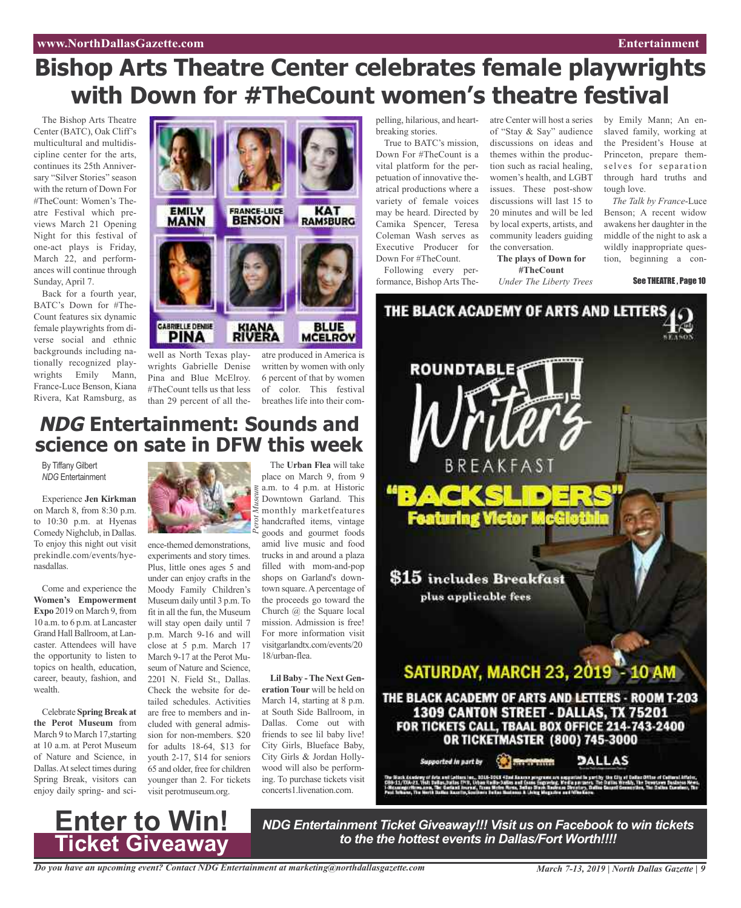## **Bishop Arts Theatre Center celebrates female playwrights with Down for #TheCount women's theatre festival**

The Bishop Arts Theatre Center (BATC), Oak Cliff's multicultural and multidiscipline center for the arts, continues its 25th Anniversary "Silver Stories" season with the return of Down For #TheCount: Women's Theatre Festival which previews March 21 Opening Night for this festival of one-act plays is Friday, March 22, and performances will continue through Sunday, April 7.

Back for a fourth year, BATC's Down for #The-Count features six dynamic female playwrights from diverse social and ethnic backgrounds including nationally recognized playwrights Emily Mann, France-Luce Benson, Kiana Rivera, Kat Ramsburg, as



well as North Texas playwrights Gabrielle Denise Pina and Blue McElroy. #TheCount tells us that less of color. This festival than 29 percent of all the-breathes life into their com-

atre produced in America is written by women with only 6 percent of that by women

### **NDG Entertainment: Sounds and science on sate in DFW this week**

By Tiffany Gilbert *NDG* Entertainment

Experience **Jen Kirkman** on March 8, from 8:30 p.m. to 10:30 p.m. at Hyenas Comedy Nighclub, in Dallas. To enjoy this night out visit prekindle.com/events/hyenasdallas.

Come and experience the **Women's Empowerment Expo** 2019 on March 9, from 10 a.m. to 6 p.m. at Lancaster Grand Hall Ballroom, at Lancaster. Attendees will have the opportunity to listen to topics on health, education, career, beauty, fashion, and wealth.

Celebrate **SpringBreak at the Perot Museum** from March 9 to March 17,starting at 10 a.m. at Perot Museum of Nature and Science, in Dallas.Atselect times during Spring Break, visitors can enjoy daily spring- and sci-



ence-themed demonstrations, experiments and story times. Plus, little ones ages 5 and under can enjoy crafts in the Moody Family Children's Museum daily until 3 p.m.To fit in all the fun, the Museum will stay open daily until 7 p.m. March 9-16 and will close at 5 p.m. March 17 March 9-17 at the Perot Museum of Nature and Science, 2201 N. Field St., Dallas. Check the website for detailed schedules. Activities are free to members and included with general admission for non-members. \$20 for adults 18-64, \$13 for youth 2-17, \$14 for seniors 65 and older, free for children younger than 2. For tickets visit perotmuseum.org.

The **Urban Flea** will take place on March 9, from 9  $\leq$  a.m. to 4 p.m. at Historic Downtown Garland. This monthly marketfeatures handcrafted items, vintage goods and gourmet foods amid live music and food trucks in and around a plaza filled with mom-and-pop shops on Garland's downtown square. A percentage of the proceeds go toward the Church @ the Square local mission. Admission is free! For more information visit visitgarlandtx.com/events/20 18/urban-flea.

**Lil Baby -The Next Generation Tour** will be held on March 14, starting at 8 p.m. at South Side Ballroom, in Dallas. Come out with friends to see lil baby live! City Girls, Blueface Baby, City Girls & Jordan Hollywood will also be performing. To purchase tickets visit concerts1.livenation.com.

breaking stories.

True to BATC's mission, Down For #TheCount is a vital platform for the perpetuation of innovative theatrical productions where a variety of female voices may be heard. Directed by Camika Spencer, Teresa Coleman Wash serves as Executive Producer for Down For #TheCount.

Following every performance, Bishop Arts Theof "Stay & Say" audience discussions on ideas and themes within the production such as racial healing, women's health, and LGBT issues. These post-show discussions will last 15 to 20 minutes and will be led by local experts, artists, and community leaders guiding the conversation.

**The plays of Down for #TheCount**

*Under The Liberty Trees*

pelling, hilarious, and heart-atre Center will host a series by Emily Mann; An enslaved family, working at the President's House at Princeton, prepare themselves for separation through hard truths and tough love.

*The Talk by France*-Luce Benson; A recent widow awakens her daughter in the middle of the night to ask a wildly inappropriate question, beginning a con-

See THEATRE , Page 10



**Enter to Win! Ticket Giveaway**

*NDG Entertainment Ticket Giveaway!!! Visit us on Facebook to win tickets to the the hottest events in Dallas/Fort Worth!!!!*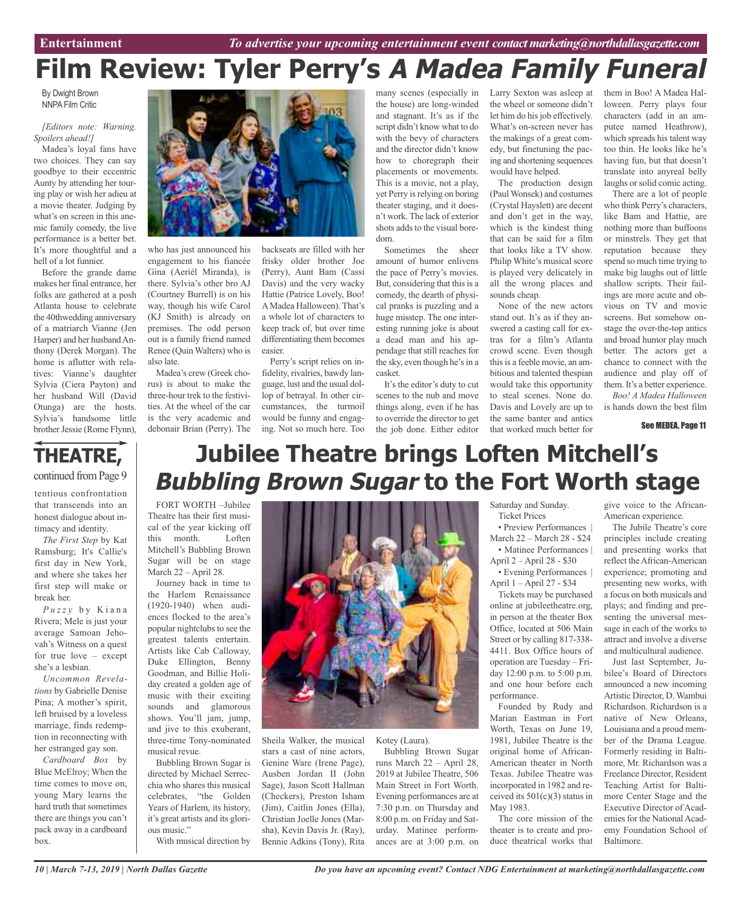# **Film Review: Tyler Perry's A Madea Family Funeral**

By Dwight Brown NNPA Film Critic

#### *[Editors note: Warning. Spoilers ahead!]*

Madea's loyal fans have two choices. They can say goodbye to their eccentric Aunty by attending her touring play or wish her adieu at a movie theater. Judging by what's on screen in this anemic family comedy, the live performance is a better bet. It's more thoughtful and a hell of a lot funnier.

Before the grande dame makes her final entrance, her folks are gathered at a posh Atlanta house to celebrate the 40thwedding anniversary of a matriarch Vianne (Jen Harper) and her husband Anthony (Derek Morgan). The home is aflutter with relatives: Vianne's daughter Sylvia (Ciera Payton) and her husband Will (David Otunga) are the hosts. Sylvia's handsome little brother Jessie (Rome Flynn),

that transcends into an honest dialogue about intimacy and identity. *The First Step* by Kat Ramsburg; It's Callie's first day in New York, and where she takes her first step will make or

*P u z z y* b y K i a n a Rivera; Mele is just your average Samoan Jehovah's Witness on a quest for true love – except

*Uncommon Revelations* by Gabrielle Denise Pina; A mother's spirit, left bruised by a loveless marriage, finds redemption in reconnecting with her estranged gay son. *Cardboard Box* by Blue McElroy; When the time comes to move on, young Mary learns the hard truth that sometimes there are things you can't pack away in a cardboard

break her.

she's a lesbian.

box.



who has just announced his engagement to his fiancée Gina (Aeriél Miranda), is there. Sylvia's other bro AJ (Courtney Burrell) is on his way, though his wife Carol (KJ Smith) is already on premises. The odd person out is a family friend named Renee (Quin Walters) who is also late.

Madea's crew (Greek chorus) is about to make the three-hour trek to the festivities. At the wheel of the car is the very academic and debonair Brian (Perry). The backseats are filled with her frisky older brother Joe (Perry), Aunt Bam (Cassi Davis) and the very wacky Hattie (Patrice Lovely, Boo! AMadea Halloween). That's a whole lot of characters to keep track of, but over time differentiating them becomes easier.

Perry's script relies on infidelity, rivalries, bawdy language, lust and the usual dollop of betrayal. In other circumstances, the turmoil would be funny and engaging. Not so much here. Too

many scenes (especially in Larry Sexton was asleep at the house) are long-winded and stagnant. It's as if the script didn't know what to do with the bevy of characters and the director didn't know how to choregraph their placements or movements. This is a movie, not a play, yet Perry is relying on boring theater staging, and it doesn't work. The lack of exterior shots adds to the visual boredom.

Sometimes the sheer amount of humor enlivens the pace of Perry's movies. But, considering that this is a comedy, the dearth of physical pranks is puzzling and a huge misstep. The one interesting running joke is about a dead man and his appendage that still reaches for the sky, even though he's in a casket.

It's the editor's duty to cut scenes to the nub and move things along, even if he has to override the director to get the job done. Either editor the wheel or someone didn't let him do his job effectively. What's on-screen never has the makings of a great comedy, but finetuning the pacing and shortening sequences would have helped.

The production design (Paul Wonsek) and costumes (Crystal Hayslett) are decent and don't get in the way, which is the kindest thing that can be said for a film that looks like a TV show. Philip White's musical score is played very delicately in all the wrong places and sounds cheap.

None of the new actors stand out. It's as if they answered a casting call for extras for a film's Atlanta crowd scene. Even though this is a feeble movie, an ambitious and talented thespian would take this opportunity to steal scenes. None do. Davis and Lovely are up to the same banter and antics that worked much better for

them in Boo! A Madea Halloween. Perry plays four characters (add in an amputee named Heathrow), which spreads his talent way too thin. He looks like he's having fun, but that doesn't translate into anyreal belly laughs or solid comic acting.

There are a lot of people who think Perry's characters, like Bam and Hattie, are nothing more than buffoons or minstrels. They get that reputation because they spend so much time trying to make big laughs out of little shallow scripts. Their failings are more acute and obvious on TV and movie screens. But somehow onstage the over-the-top antics and broad humor play much better. The actors get a chance to connect with the audience and play off of them. It's a better experience. *Boo! A Madea Halloween*

is hands down the best film

See MEDEA, Page 11

#### **THEATRE,** continued from Page 9 tentious confrontation **Jubilee Theatre brings Loften Mitchell's Bubbling Brown Sugar to the Fort Worth stage**

FORT WORTH –Jubilee Theatre has their first musical of the year kicking off this month. Loften Mitchell's Bubbling Brown Sugar will be on stage March 22 – April 28.

Journey back in time to the Harlem Renaissance (1920-1940) when audiences flocked to the area's popular nightclubs to see the greatest talents entertain. Artists like Cab Calloway, Duke Ellington, Benny Goodman, and Billie Holiday created a golden age of music with their exciting sounds and glamorous shows. You'll jam, jump, and jive to this exuberant, three-time Tony-nominated musical revue.

Bubbling Brown Sugar is directed by Michael Serrecchia who shares this musical celebrates, "the Golden Years of Harlem, its history, it's great artists and its glorious music."

With musical direction by



Sheila Walker, the musical stars a cast of nine actors, Genine Ware (Irene Page), Ausben Jordan II (John Sage), Jason Scott Hallman (Checkers), Preston Isham (Jim), Caitlin Jones (Ella), Christian Joelle Jones (Marsha), Kevin Davis Jr. (Ray), Bennie Adkins (Tony), Rita

Kotey (Laura).

Bubbling Brown Sugar runs March 22 – April 28, 2019 at Jubilee Theatre, 506 Main Street in Fort Worth. Evening performances are at 7:30 p.m. on Thursday and 8:00 p.m. on Friday and Saturday. Matinee performances are at 3:00 p.m. on Saturday and Sunday. Ticket Prices

• Preview Performances | March 22 – March 28 - \$24 • Matinee Performances | April 2 – April 28 - \$30

• Evening Performances | April 1 – April 27 - \$34

Tickets may be purchased online at jubileetheatre.org, in person at the theater Box Office, located at 506 Main Street or by calling 817-338- 4411. Box Office hours of operation are Tuesday – Friday 12:00 p.m. to 5:00 p.m. and one hour before each performance.

Founded by Rudy and Marian Eastman in Fort Worth, Texas on June 19, 1981, Jubilee Theatre is the original home of African-American theater in North Texas. Jubilee Theatre was incorporated in 1982 and received its  $501(c)(3)$  status in May 1983.

The core mission of the theater is to create and produce theatrical works that

give voice to the African-American experience.

The Jubile Theatre's core principles include creating and presenting works that reflect the African-American experience; promoting and presenting new works, with a focus on both musicals and plays; and finding and presenting the universal message in each of the works to attract and involve a diverse and multicultural audience.

Just last September, Jubilee's Board of Directors announced a new incoming Artistic Director, D. Wambui Richardson. Richardson is a native of New Orleans, Louisiana and a proud member of the Drama League. Formerly residing in Baltimore, Mr. Richardson was a Freelance Director, Resident Teaching Artist for Baltimore Center Stage and the Executive Director of Academies for the National Academy Foundation School of Baltimore.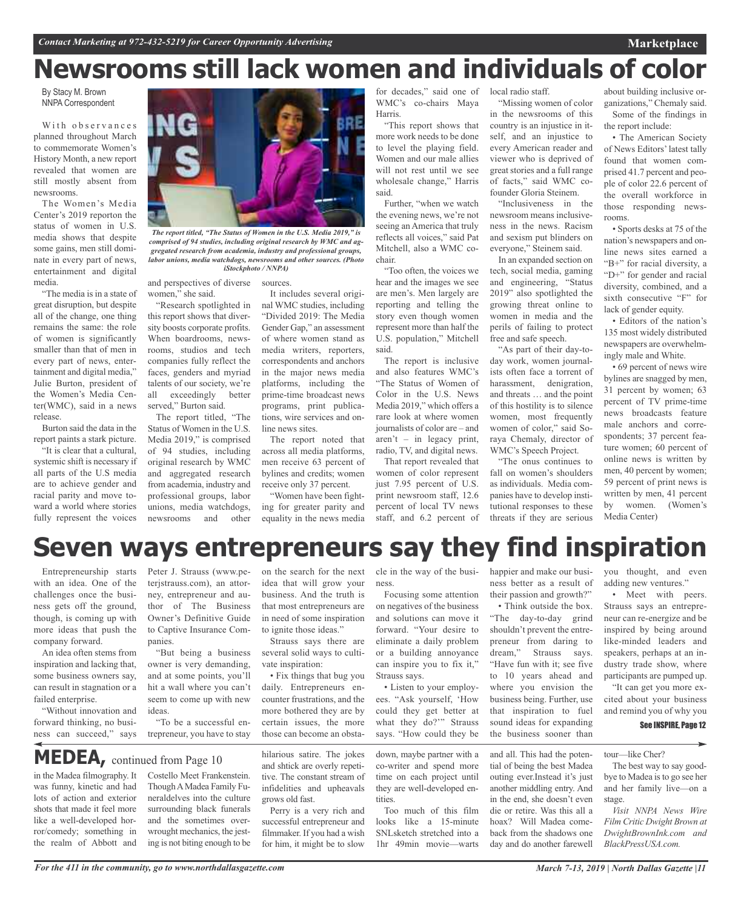# **Newsrooms still lack women and individuals of color**

By Stacy M. Brown NNPA Correspondent

With observances planned throughout March to commemorate Women's History Month, a new report revealed that women are still mostly absent from newsrooms.

The Women's Media Center's 2019 reporton the status of women in U.S. media shows that despite some gains, men still dominate in every part of news, entertainment and digital media.

"The media is in a state of great disruption, but despite all of the change, one thing remains the same: the role of women is significantly smaller than that of men in every part of news, entertainment and digital media," Julie Burton, president of the Women's Media Center(WMC), said in a news release.

Burton said the data in the report paints a stark picture.

"It is clear that a cultural, systemic shift is necessary if all parts of the U.S media are to achieve gender and racial parity and move toward a world where stories fully represent the voices



*The report titled, "The Status of Women in the U.S. Media 2019," is comprised of 94 studies, including original research by WMC and aggregated research from academia, industry and professional groups, labor unions, media watchdogs, newsrooms and other sources. (Photo iStockphoto / NNPA)*

and perspectives of diverse sources. women," she said.

"Research spotlighted in this report shows that diversity boosts corporate profits. When boardrooms, newsrooms, studios and tech companies fully reflect the faces, genders and myriad talents of our society, we're<br>all exceedingly better all exceedingly served," Burton said.

The report titled, "The Status of Women in the U.S. Media 2019," is comprised of 94 studies, including original research by WMC and aggregated research from academia, industry and professional groups, labor unions, media watchdogs, newsrooms and other

It includes several original WMC studies, including

"Divided 2019: The Media Gender Gap," an assessment of where women stand as media writers, reporters, correspondents and anchors in the major news media platforms, including the prime-time broadcast news programs, print publications, wire services and online news sites.

The report noted that across all media platforms, men receive 63 percent of bylines and credits; women receive only 37 percent.

"Women have been fighting for greater parity and equality in the news media

for decades," said one of WMC's co-chairs Maya Harris.

"This report shows that more work needs to be done to level the playing field. Women and our male allies will not rest until we see wholesale change," Harris said.

Further, "when we watch the evening news, we're not seeing an America that truly reflects all voices," said Pat Mitchell, also a WMC cochair.

"Too often, the voices we hear and the images we see are men's. Men largely are reporting and telling the story even though women represent more than half the U.S. population," Mitchell said.

The report is inclusive and also features WMC's "The Status of Women of Color in the U.S. News Media 2019," which offers a rare look at where women journalists of color are – and  $\arctan t - \text{in}$  legacy print, radio, TV, and digital news.

That report revealed that women of color represent just 7.95 percent of U.S. print newsroom staff, 12.6 percent of local TV news staff, and 6.2 percent of local radio staff.

"Missing women of color in the newsrooms of this country is an injustice in itself, and an injustice to every American reader and viewer who is deprived of great stories and a full range of facts," said WMC cofounder Gloria Steinem.

"Inclusiveness in the newsroom means inclusiveness in the news. Racism and sexism put blinders on everyone," Steinem said.

In an expanded section on tech, social media, gaming and engineering, "Status 2019" also spotlighted the growing threat online to women in media and the perils of failing to protect free and safe speech.

"As part of their day-today work, women journalists often face a torrent of harassment, denigration, and threats … and the point of this hostility is to silence women, most frequently women of color," said Soraya Chemaly, director of WMC's Speech Project.

"The onus continues to fall on women's shoulders as individuals. Media companies have to develop institutional responses to these threats if they are serious

about building inclusive organizations," Chemaly said. Some of the findings in the report include:

**Marketplace**

• The American Society of News Editors'latest tally found that women comprised 41.7 percent and people of color 22.6 percent of the overall workforce in those responding newsrooms.

• Sports desks at 75 of the nation's newspapers and online news sites earned a "B+" for racial diversity, a "D+" for gender and racial diversity, combined, and a sixth consecutive "F" for lack of gender equity.

• Editors of the nation's 135 most widely distributed newspapers are overwhelmingly male and White.

• 69 percent of news wire bylines are snagged by men, 31 percent by women; 63 percent of TV prime-time news broadcasts feature male anchors and correspondents; 37 percent feature women; 60 percent of online news is written by men, 40 percent by women; 59 percent of print news is written by men, 41 percent by women. (Women's Media Center)

## **Seven ways entrepreneurs say they find inspiration**

Entrepreneurship starts with an idea. One of the challenges once the business gets off the ground, though, is coming up with more ideas that push the company forward.

An idea often stems from inspiration and lacking that, some business owners say, can result in stagnation or a failed enterprise.

"Without innovation and forward thinking, no business can succeed," says Peter J. Strauss (www.peterjstrauss.com), an attorney, entrepreneur and author of The Business Owner's Definitive Guide to Captive Insurance Companies.

"But being a business owner is very demanding, and at some points, you'll hit a wall where you can't seem to come up with new ideas.

"To be a successful entrepreneur, you have to stay

**MEDEA,** continued from Page <sup>10</sup>

in the Madea filmography. It was funny, kinetic and had lots of action and exterior shots that made it feel more like a well-developed horror/comedy; something in the realm of Abbott and

Costello Meet Frankenstein. ThoughAMadea Family Funeraldelves into the culture surrounding black funerals and the sometimes overwrought mechanics, the jesting is not biting enough to be

on the search for the next idea that will grow your business. And the truth is that most entrepreneurs are in need of some inspiration to ignite those ideas."

Strauss says there are several solid ways to cultivate inspiration:

• Fix things that bug you daily. Entrepreneurs encounter frustrations, and the more bothered they are by certain issues, the more those can become an obsta-

hilarious satire. The jokes and shtick are overly repetitive. The constant stream of infidelities and upheavals grows old fast.

Perry is a very rich and successful entrepreneur and filmmaker. If you had a wish for him, it might be to slow

ness.

Focusing some attention on negatives of the business and solutions can move it forward. "Your desire to eliminate a daily problem or a building annoyance can inspire you to fix it," Strauss says.

• Listen to your employees. "Ask yourself, 'How could they get better at what they do?" Strauss says. "How could they be

down, maybe partner with a co-writer and spend more time on each project until they are well-developed en**tities** 

Too much of this film looks like a 15-minute SNLsketch stretched into a 1hr 49min movie—warts

cle in the way of the busi-happier and make our business better as a result of their passion and growth?"

> • Think outside the box. "The day-to-day grind shouldn't prevent the entrepreneur from daring to dream," Strauss says. "Have fun with it; see five to 10 years ahead and where you envision the business being. Further, use that inspiration to fuel sound ideas for expanding the business sooner than

and all. This had the potential of being the best Madea outing ever.Instead it's just another middling entry. And in the end, she doesn't even die or retire. Was this all a hoax? Will Madea comeback from the shadows one day and do another farewell

you thought, and even adding new ventures."

• Meet with peers. Strauss says an entrepreneur can re-energize and be inspired by being around like-minded leaders and speakers, perhaps at an industry trade show, where participants are pumped up.

"It can get you more excited about your business and remind you of why you

#### See INSPIRE, Page 12

tour—like Cher?

The best way to say goodbye to Madea is to go see her and her family live—on a stage.

*Visit NNPA News Wire Film Critic Dwight Brown at DwightBrownInk.com and BlackPressUSA.com.*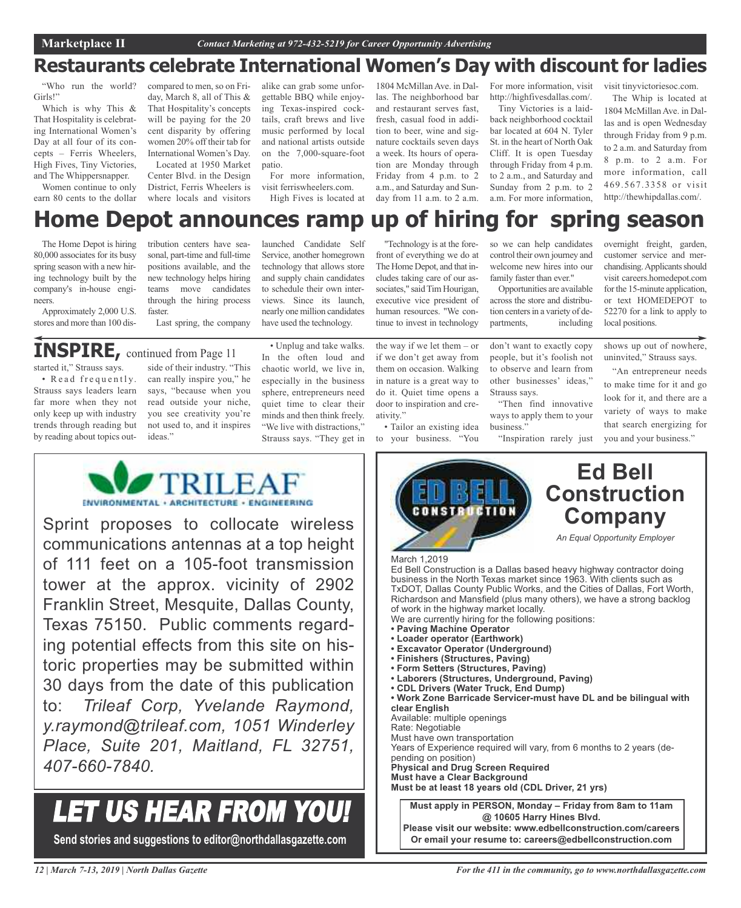### **Restaurants celebrate International Women's Day with discount for ladies**

"Who run the world? Girls!"

Which is why This & That Hospitality is celebrating International Women's Day at all four of its concepts – Ferris Wheelers, High Fives, Tiny Victories, and The Whippersnapper.

Women continue to only earn 80 cents to the dollar

compared to men, so on Friday, March 8, all of This & That Hospitality's concepts will be paying for the 20 cent disparity by offering women 20% off their tab for International Women's Day.

Located at 1950 Market Center Blvd. in the Design District, Ferris Wheelers is where locals and visitors

alike can grab some unforgettable BBQ while enjoying Texas-inspired cocktails, craft brews and live music performed by local and national artists outside on the 7,000-square-foot patio.

For more information, visit ferriswheelers.com. High Fives is located at

launched Candidate Self Service, another homegrown technology that allows store and supply chain candidates to schedule their own interviews. Since its launch, nearly one million candidates have used the technology.

1804 McMillan Ave. in Dallas. The neighborhood bar and restaurant serves fast, fresh, casual food in addition to beer, wine and signature cocktails seven days a week. Its hours of operation are Monday through Friday from 4 p.m. to 2 a.m., and Saturday and Sunday from 11 a.m. to 2 a.m. For more information, visit http://highfivesdallas.com/.

Tiny Victories is a laidback neighborhood cocktail bar located at 604 N. Tyler St. in the heart of North Oak Cliff. It is open Tuesday through Friday from 4 p.m. to 2 a.m., and Saturday and Sunday from 2 p.m. to 2 a.m. For more information,

visit tinyvictoriesoc.com.

The Whip is located at 1804 McMillan Ave. in Dallas and is open Wednesday through Friday from 9 p.m. to 2 a.m. and Saturday from 8 p.m. to 2 a.m. For more information, call 469.567.3358 or visit http://thewhipdallas.com/.

## **Home Depot announces ramp up of hiring for spring season**

The Home Depot is hiring 80,000 associates for its busy spring season with a new hiring technology built by the company's in-house engineers.

tribution centers have seasonal, part-time and full-time positions available, and the new technology helps hiring teams move candidates through the hiring process faster.

Last spring, the company

### **INSPIRE,** continued from Page <sup>11</sup>

Approximately 2,000 U.S. stores and more than 100 dis-

started it," Strauss says. • Read frequently.

Strauss says leaders learn far more when they not only keep up with industry trends through reading but by reading about topics out-

side of their industry. "This can really inspire you," he says, "because when you read outside your niche, you see creativity you're not used to, and it inspires ideas."

• Unplug and take walks. In the often loud and chaotic world, we live in, especially in the business sphere, entrepreneurs need quiet time to clear their minds and then think freely. "We live with distractions," Strauss says. "They get in

"Technology is at the forefront of everything we do at The Home Depot, and that includes taking care of our associates," said Tim Hourigan, executive vice president of human resources. "We continue to invest in technology

the way if we let them – or if we don't get away from them on occasion. Walking in nature is a great way to do it. Quiet time opens a door to inspiration and creativity."

• Tailor an existing idea to your business. "You so we can help candidates control their own journey and welcome new hires into our family faster than ever."

Opportunities are available across the store and distribution centers in a variety of departments, including

don't want to exactly copy people, but it's foolish not to observe and learn from other businesses' ideas," Strauss says.

"Then find innovative ways to apply them to your business."

"Inspiration rarely just

overnight freight, garden, customer service and merchandising. Applicants should visit careers.homedepot.com for the 15-minute application, or text HOMEDEPOT to 52270 for a link to apply to local positions.

shows up out of nowhere, uninvited," Strauss says.

"An entrepreneur needs to make time for it and go look for it, and there are a variety of ways to make that search energizing for you and your business."



ENVIRONMENTAL · ARCHITECTURE · ENGINEERING

Sprint proposes to collocate wireless communications antennas at a top height of 111 feet on a 105-foot transmission tower at the approx. vicinity of 2902 Franklin Street, Mesquite, Dallas County, Texas 75150. Public comments regarding potential effects from this site on historic properties may be submitted within 30 days from the date of this publication to: *Trileaf Corp, Yvelande Raymond, y.raymond@trileaf.com, 1051 Winderley Place, Suite 201, Maitland, FL 32751, 407-660-7840.*

## LET US HEAR FROM YOU!

**Send stories and suggestions to editor@northdallasgazette.com**

*12 | March 7-13, 2019 | North Dallas Gazette*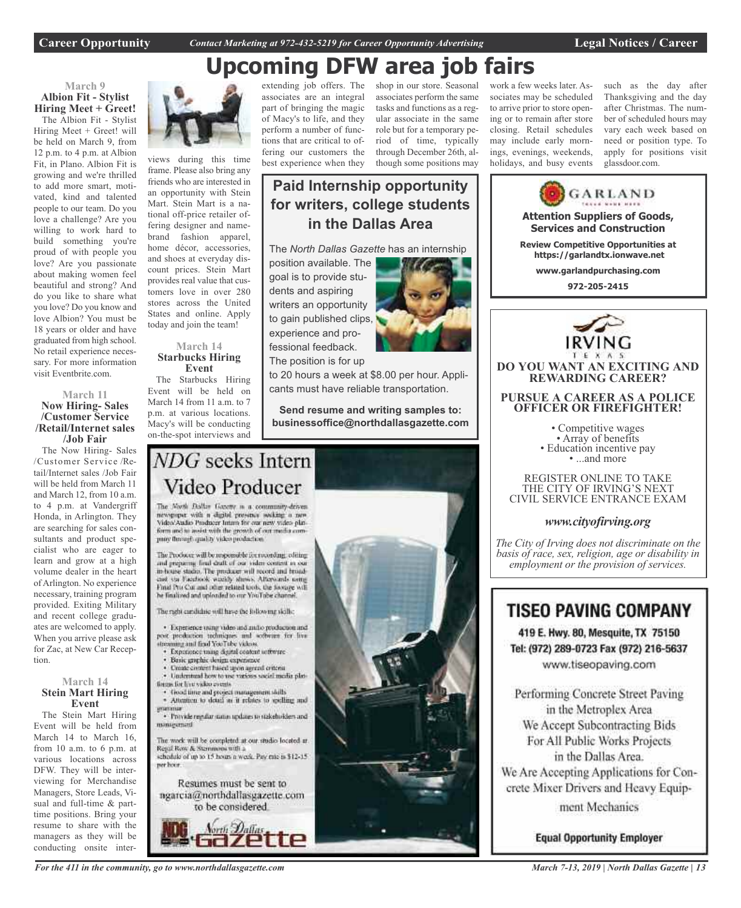**Career Opportunity** *Contact Marketing at 972-432-5219 for Career Opportunity Advertising* **Legal Notices / Career**

## **Upcoming DFW area job fairs**



The Albion Fit - Stylist Hiring Meet + Greet! will be held on March 9, from 12 p.m. to 4 p.m. at Albion Fit, in Plano. Albion Fit is growing and we're thrilled to add more smart, motivated, kind and talented people to our team. Do you love a challenge? Are you willing to work hard to build something you're proud of with people you love? Are you passionate about making women feel beautiful and strong? And do you like to share what you love? Do you know and love Albion? You must be 18 years or older and have graduated from high school. No retail experience necessary. For more information visit Eventbrite.com.

#### **March 11 Now Hiring- Sales /Customer Service /Retail/Internet sales /Job Fair**

The Now Hiring- Sales /Customer Service /Retail/Internet sales /Job Fair will be held from March 11 and March 12, from 10 a.m. to 4 p.m. at Vandergriff Honda, in Arlington. They are searching for sales consultants and product specialist who are eager to learn and grow at a high volume dealer in the heart of Arlington. No experience necessary, training program provided. Exiting Military and recent college graduates are welcomed to apply. When you arrive please ask for Zac, at New Car Reception.

#### **March 14 Stein Mart Hiring Event**

The Stein Mart Hiring Event will be held from March 14 to March 16, from 10 a.m. to 6 p.m. at various locations across DFW. They will be interviewing for Merchandise Managers, Store Leads, Visual and full-time & parttime positions. Bring your resume to share with the managers as they will be conducting onsite inter-



views during this time frame. Please also bring any friends who are interested in an opportunity with Stein Mart. Stein Mart is a national off-price retailer offering designer and namebrand fashion apparel, home décor, accessories, and shoes at everyday discount prices. Stein Mart provides real value that customers love in over 280 stores across the United States and online. Apply today and join the team!

#### **March 14 Starbucks Hiring Event**

The Starbucks Hiring Event will be held on March 14 from 11 a.m. to 7 p.m. at various locations. Macy's will be conducting on-the-spot interviews and

extending job offers. The associates are an integral part of bringing the magic of Macy's to life, and they perform a number of functions that are critical to offering our customers the best experience when they

shop in our store. Seasonal associates perform the same tasks and functions as a regular associate in the same role but for a temporary period of time, typically through December 26th, al-

work a few weeks later. Associates may be scheduled to arrive prior to store opening or to remain after store closing. Retail schedules may include early mornings, evenings, weekends, holidays, and busy events

such as the day after Thanksgiving and the day after Christmas. The number of scheduled hours may vary each week based on need or position type. To apply for positions visit glassdoor.com.



We Accept Subcontracting Bids For All Public Works Projects in the Dallas Area. We Are Accepting Applications for Concrete Mixer Drivers and Heavy Equipment Mechanics

**Equal Opportunity Employer** 

though some positions may **Paid Internship opportunity for writers, college students in the Dallas Area**

The *North Dallas Gazette* has an internship

position available. The goal is to provide students and aspiring writers an opportunity to gain published clips, experience and professional feedback. The position is for up

to 20 hours a week at \$8.00 per hour. Applicants must have reliable transportation.

**Send resume and writing samples to: businessoffice@northdallasgazette.com**

### NDG seeks Intern Video Producer

The North Dallas Gazette is a community-driven newspaper with a digital presence socking a new Video/Audio Producer Intam for our new video plat-<br>form and to assist with the growth of our media comproy through quality video production.

The Producer will be responsible for rocording, editing and preparing final draft of our video content in our in-house stadio. The producer will record and broad-cast via Facebook witchly shows. Afterwards using Final Pro Cor and other related tools, the footage will he finalized and uploaded to our YouTube channel

The right cardidate will have the following skills:

· Experience using video and antio production and post production techniques and software for live streaming and final YouTube videos.

- Experience mang digital content settware
- Basic graphic design experience
- Create circlent hased upon agreed criteria · Understand how to use various social media plat-
- tions for live video cycets
- · Good time and project management skills<br>· Attention to detail as it relates to spelling and
- · Provide regular status updates to stakeholders and miniarument

The work will be completed at our studio located at Regal Row & Stemmons with a schedule of up to 15 hours a week. Pay rate is \$12-15. ner hoor.

Resumes must be sent to ngarcia@northdallasgazette.com to be considered.



*For the 411 in the community, go to www.northdallasgazette.com*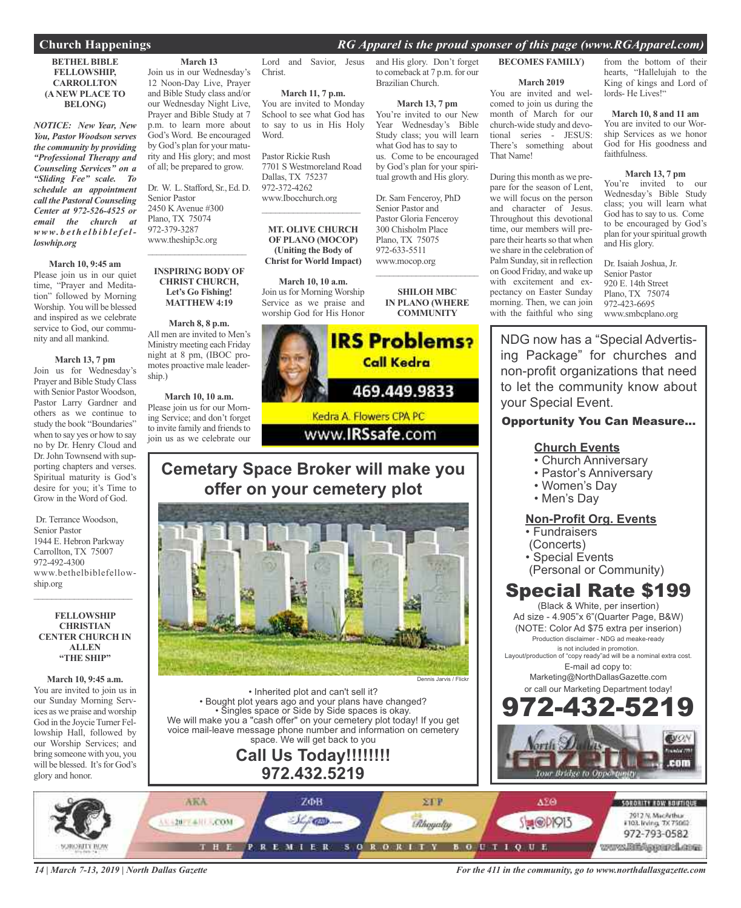#### **Church Happenings** *RG Apparel is the proud sponser of this page (www.RGApparel.com)*

#### **BETHEL BIBLE FELLOWSHIP, CARROLLTON (A NEW PLACE TO BELONG)**

*NOTICE: New Year, New You, Pastor Woodson serves the community by providing "Professional Therapy and Counseling Services" on a "Sliding Fee" scale. To schedule an appointment call the Pastoral Counseling Center at 972-526-4525 or email the church at www. b e t h e l b i b l e f e lloswhip.org*

#### **March 10, 9:45 am**

Please join us in our quiet time, "Prayer and Meditation" followed by Morning Worship. You will be blessed and inspired as we celebrate service to God, our community and all mankind.

#### **March 13, 7 pm**

Join us for Wednesday's Prayer and Bible Study Class with Senior Pastor Woodson. Pastor Larry Gardner and others as we continue to study the book "Boundaries" when to say yes or how to say no by Dr. Henry Cloud and Dr. John Townsend with supporting chapters and verses. Spiritual maturity is God's desire for you; it's Time to Grow in the Word of God.

Dr. Terrance Woodson, Senior Pastor 1944 E. Hebron Parkway Carrollton, TX 75007 972-492-4300 www.bethelbiblefellowship.org  $\mathcal{L}_\text{max}$  , where  $\mathcal{L}_\text{max}$  and  $\mathcal{L}_\text{max}$ 

#### **FELLOWSHIP CHRISTIAN CENTER CHURCH IN ALLEN "THE SHIP"**

#### **March 10, 9:45 a.m.**

You are invited to join us in our Sunday Morning Services as we praise and worship God in the Joycie Turner Fellowship Hall, followed by our Worship Services; and bring someone with you, you will be blessed. It's for God's glory and honor.

#### **March 13** Join us in our Wednesday's 12 Noon-Day Live, Prayer and Bible Study class and/or our Wednesday Night Live, Prayer and Bible Study at 7 p.m. to learn more about God's Word. Be encouraged by God's plan for your maturity and His glory; and most of all; be prepared to grow.

Dr. W. L. Stafford, Sr., Ed. D. Senior Pastor 2450 K Avenue #300 Plano, TX 75074 972-379-3287 www.theship3c.org  $\mathcal{L}_\text{max}$  , where  $\mathcal{L}_\text{max}$  and  $\mathcal{L}_\text{max}$ 

#### **INSPIRING BODY OF CHRIST CHURCH, Let's Go Fishing! MATTHEW 4:19**

#### **March 8, 8 p.m.** All men are invited to Men's Ministry meeting each Friday night at 8 pm, (IBOC promotes proactive male leadership.)

**March 10, 10 a.m.** Please join us for our Morning Service; and don't forget to invite family and friends to join us as we celebrate our Christ.

**March 11, 7 p.m.** You are invited to Monday School to see what God has to say to us in His Holy Word.

Pastor Rickie Rush 7701 S Westmoreland Road Dallas, TX 75237 972-372-4262 www.Ibocchurch.org

#### **MT. OLIVE CHURCH OF PLANO (MOCOP) (Uniting the Body of Christ for World Impact)**

 $\overline{\phantom{a}}$  ,  $\overline{\phantom{a}}$  ,  $\overline{\phantom{a}}$  ,  $\overline{\phantom{a}}$  ,  $\overline{\phantom{a}}$  ,  $\overline{\phantom{a}}$  ,  $\overline{\phantom{a}}$  ,  $\overline{\phantom{a}}$  ,  $\overline{\phantom{a}}$  ,  $\overline{\phantom{a}}$  ,  $\overline{\phantom{a}}$  ,  $\overline{\phantom{a}}$  ,  $\overline{\phantom{a}}$  ,  $\overline{\phantom{a}}$  ,  $\overline{\phantom{a}}$  ,  $\overline{\phantom{a}}$ 

**March 10, 10 a.m.** Join us for Morning Worship Service as we praise and worship God for His Honor

Lord and Savior, Jesus and His glory. Don't forget to comeback at 7 p.m. for our Brazilian Church.

#### **March 13, 7 pm**

You're invited to our New Year Wednesday's Bible Study class; you will learn what God has to say to us. Come to be encouraged by God's plan for your spiritual growth and His glory.

Dr. Sam Fenceroy, PhD Senior Pastor and Pastor Gloria Fenceroy 300 Chisholm Place Plano, TX 75075 972-633-5511 www.mocop.org

> **SHILOH MBC IN PLANO (WHERE COMMUNITY**

 $\overline{\phantom{a}}$  ,  $\overline{\phantom{a}}$  ,  $\overline{\phantom{a}}$  ,  $\overline{\phantom{a}}$  ,  $\overline{\phantom{a}}$  ,  $\overline{\phantom{a}}$  ,  $\overline{\phantom{a}}$  ,  $\overline{\phantom{a}}$  ,  $\overline{\phantom{a}}$  ,  $\overline{\phantom{a}}$  ,  $\overline{\phantom{a}}$  ,  $\overline{\phantom{a}}$  ,  $\overline{\phantom{a}}$  ,  $\overline{\phantom{a}}$  ,  $\overline{\phantom{a}}$  ,  $\overline{\phantom{a}}$ 



### **Cemetary Space Broker will make you offer on your cemetery plot**



• Inherited plot and can't sell it? • Bought plot years ago and your plans have changed? • Singles space or Side by Side spaces is okay. We will make you a "cash offer" on your cemetery plot today! If you get voice mail-leave message phone number and information on cemetery space. We will get back to you

### **Call Us Today!!!!!!!! 972.432.5219**

**BECOMES FAMILY)**

### **March 2019**

You are invited and welcomed to join us during the month of March for our church-wide study and devotional series - JESUS: There's something about That Name!

During this month as we prepare for the season of Lent, we will focus on the person and character of Jesus. Throughout this devotional time, our members will prepare their hearts so that when we share in the celebration of Palm Sunday, sit in reflection on Good Friday, and wake up with excitement and expectancy on Easter Sunday morning. Then, we can join with the faithful who sing from the bottom of their hearts, "Hallelujah to the King of kings and Lord of lords- He Lives!"

#### **March 10, 8 and 11 am**

You are invited to our Worship Services as we honor God for His goodness and faithfulness.

#### **March 13, 7 pm**

You're invited to our Wednesday's Bible Study class; you will learn what God has to say to us. Come to be encouraged by God's plan for yourspiritual growth and His glory.

Dr. Isaiah Joshua, Jr. Senior Pastor 920 E. 14th Street Plano, TX 75074 972-423-6695 www.smbcplano.org

NDG now has a "Special Advertising Package" for churches and non-profit organizations that need to let the community know about your Special Event.

### Opportunity You Can Measure...

#### **Church Events**

- Church Anniversary
- Pastor's Anniversary
- Women's Day
- Men's Day

#### **Non-Profit Org. Events**

- Fundraisers
- (Concerts)
- Special Events
- (Personal or Community)

### Special Rate \$199

(Black & White, per insertion) Ad size - 4.905"x 6"(Quarter Page, B&W) (NOTE: Color Ad \$75 extra per inserion) Production disclaimer - NDG ad meake-ready is not included in promotion.

Layout/production of "copy ready"ad will be a nominal extra cost. E-mail ad copy to:

> Marketing@NorthDallasGazette.com or call our Marketing Department today!



*14 | March 7-13, 2019 | North Dallas Gazette*

*For the 411 in the community, go to www.northdallasgazette.com*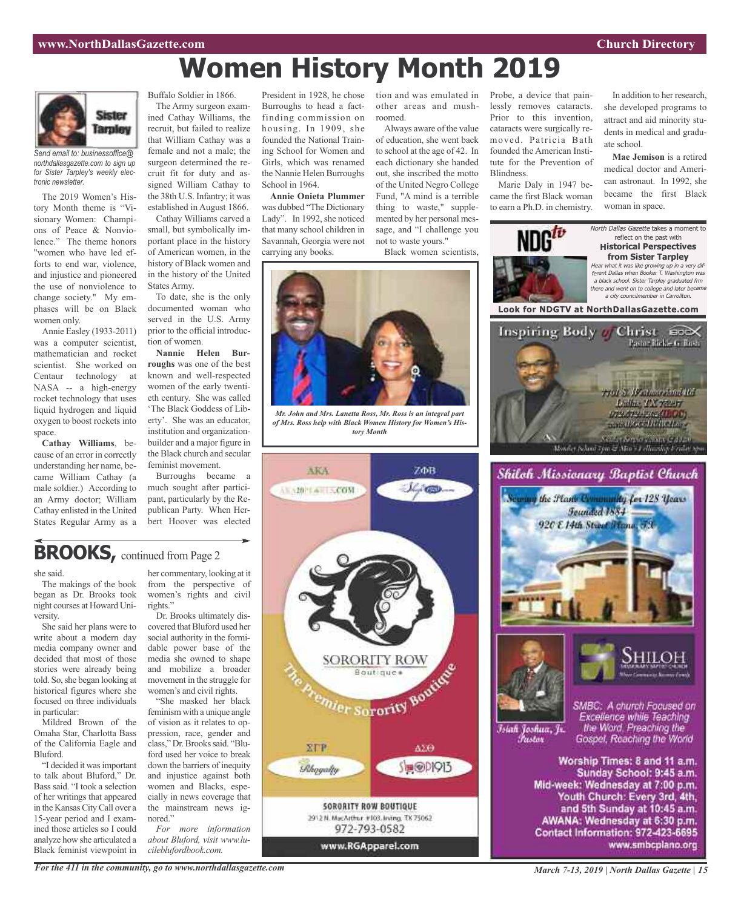**Women History Month 2019**



*Send email to: businessoffice@ northdallasgazette.com to sign up for Sister Tarpley's weekly electronic newsletter.*

The 2019 Women's History Month theme is "Visionary Women: Champions of Peace & Nonviolence." The theme honors "women who have led efforts to end war, violence, and injustice and pioneered the use of nonviolence to change society." My emphases will be on Black women only.

Annie Easley (1933-2011) was a computer scientist, mathematician and rocket scientist. She worked on Centaur technology at NASA -- a high-energy rocket technology that uses liquid hydrogen and liquid oxygen to boost rockets into space.

**Cathay Williams**, because of an error in correctly understanding her name, became William Cathay (a male soldier.) According to an Army doctor; William Cathay enlisted in the United States Regular Army as a

Buffalo Soldier in 1866. The Army surgeon examined Cathay Williams, the recruit, but failed to realize that William Cathay was a female and not a male; the surgeon determined the recruit fit for duty and assigned William Cathay to the 38th U.S. Infantry; it was established in August 1866.

Cathay Williams carved a small, but symbolically important place in the history of American women, in the history of Black women and in the history of the United States Army.

To date, she is the only documented woman who served in the U.S. Army prior to the official introduction of women.

**Nannie Helen Burroughs** was one of the best known and well-respected women of the early twentieth century. She was called 'The Black Goddess of Liberty'. She was an educator, institution and organizationbuilder and a major figure in the Black church and secular feminist movement.

Burroughs became a much sought after participant, particularly by the Republican Party. When Herbert Hoover was elected

President in 1928, he chose tion and was emulated in Probe, a device that pain-Burroughs to head a factfinding commission on housing. In 1909, she founded the National Training School for Women and Girls, which was renamed the Nannie Helen Burroughs School in 1964.

**Annie Onieta Plummer** was dubbed "The Dictionary Lady". In 1992, she noticed that many school children in Savannah, Georgia were not carrying any books.

other areas and mushroomed.

Always aware of the value of education, she went back to school at the age of 42. In each dictionary she handed out, she inscribed the motto of the United Negro College Fund, "A mind is a terrible thing to waste," supplemented by her personal message, and "I challenge you not to waste yours."

Black women scientists,



*Mr. John and Mrs. Lanetta Ross, Mr. Ross is an integral part of Mrs. Ross help with Black Women History for Women's History Month*





lessly removes cataracts.

In addition to her research, she developed programs to attract and aid minority students in medical and graduate school.

**Mae Jemison** is a retired medical doctor and American astronaut. In 1992, she became the first Black woman in space.



### **BROOKS,** continued from Page <sup>2</sup>

she said.

The makings of the book began as Dr. Brooks took night courses at Howard University.

She said her plans were to write about a modern day media company owner and decided that most of those stories were already being told. So, she began looking at historical figures where she focused on three individuals in particular:

Mildred Brown of the Omaha Star, Charlotta Bass of the California Eagle and Bluford.

"I decided it wasimportant to talk about Bluford," Dr. Bass said. "I took a selection of her writings that appeared in the Kansas City Call over a 15-year period and I examined those articles so I could analyze how she articulated a Black feminist viewpoint in her commentary, looking at it from the perspective of women's rights and civil rights."

Dr. Brooks ultimately discovered that Bluford used her social authority in the formidable power base of the media she owned to shape and mobilize a broader movement in the struggle for women's and civil rights.

"She masked her black feminism with a unique angle of vision as it relates to oppression, race, gender and class," Dr.Brookssaid. "Bluford used her voice to break down the barriers of inequity and injustice against both women and Blacks, especially in news coverage that the mainstream news ignored."

*For more information about Bluford, visit www.lucileblufordbook.com.*

*For the 411 in the community, go to www.northdallasgazette.com*

*March 7-13, 2019 | North Dallas Gazette | 15*